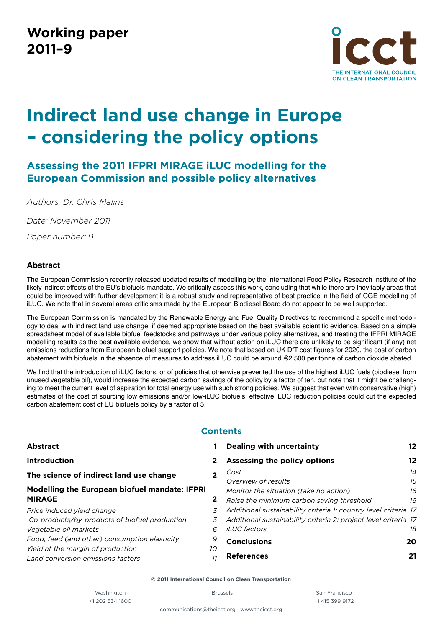# **Working paper 2011–9**



# **Indirect land use change in Europe – considering the policy options**

# **Assessing the 2011 IFPRI MIRAGE iLUC modelling for the European Commission and possible policy alternatives**

*Authors: Dr. Chris Malins*

*Date: November 2011*

*Paper number: 9*

# **Abstract**

The European Commission recently released updated results of modelling by the International Food Policy Research Institute of the likely indirect effects of the EU's biofuels mandate. We critically assess this work, concluding that while there are inevitably areas that could be improved with further development it is a robust study and representative of best practice in the field of CGE modelling of iLUC. We note that in several areas criticisms made by the European Biodiesel Board do not appear to be well supported.

The European Commission is mandated by the Renewable Energy and Fuel Quality Directives to recommend a specific methodology to deal with indirect land use change, if deemed appropriate based on the best available scientific evidence. Based on a simple spreadsheet model of available biofuel feedstocks and pathways under various policy alternatives, and treating the IFPRI MIRAGE modelling results as the best available evidence, we show that without action on iLUC there are unlikely to be significant (if any) net emissions reductions from European biofuel support policies. We note that based on UK DfT cost figures for 2020, the cost of carbon abatement with biofuels in the absence of measures to address iLUC could be around €2,500 per tonne of carbon dioxide abated.

We find that the introduction of iLUC factors, or of policies that otherwise prevented the use of the highest iLUC fuels (biodiesel from unused vegetable oil), would increase the expected carbon savings of the policy by a factor of ten, but note that it might be challenging to meet the current level of aspiration for total energy use with such strong policies. We suggest that even with conservative (high) estimates of the cost of sourcing low emissions and/or low-iLUC biofuels, effective iLUC reduction policies could cut the expected carbon abatement cost of EU biofuels policy by a factor of 5.

# **Contents**

|              | <b>Dealing with uncertainty</b>                                                     | 12       |
|--------------|-------------------------------------------------------------------------------------|----------|
| $\mathbf{2}$ | Assessing the policy options                                                        | 12       |
|              | Cost<br>Overview of results                                                         | 14<br>15 |
| $\mathbf{2}$ | Monitor the situation (take no action)<br>Raise the minimum carbon saving threshold | 16<br>16 |
| 3            | Additional sustainability criteria 1: country level criteria 17                     |          |
| 3            | Additional sustainability criteria 2: project level criteria 17                     |          |
| 6            | <i>iLUC</i> factors                                                                 | 18       |
| 9            | <b>Conclusions</b>                                                                  | 20       |
|              | <b>References</b>                                                                   | 21       |
|              | 10                                                                                  |          |

**© 2011 International Council on Clean Transportation**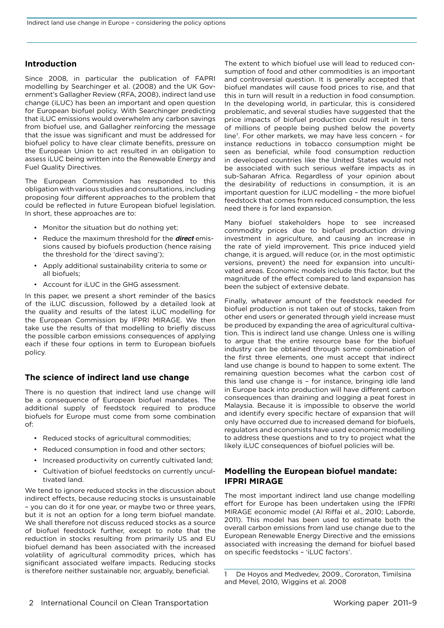# <span id="page-1-0"></span>**Introduction**

Since 2008, in particular the publication of FAPRI modelling by Searchinger et al. (2008) and the UK Government's Gallagher Review (RFA, 2008), indirect land use change (iLUC) has been an important and open question for European biofuel policy. With Searchinger predicting that iLUC emissions would overwhelm any carbon savings from biofuel use, and Gallagher reinforcing the message that the issue was significant and must be addressed for biofuel policy to have clear climate benefits, pressure on the European Union to act resulted in an obligation to assess iLUC being written into the Renewable Energy and Fuel Quality Directives.

The European Commission has responded to this obligation with various studies and consultations, including proposing four different approaches to the problem that could be reflected in future European biofuel legislation. In short, these approaches are to:

- Monitor the situation but do nothing yet;
- Reduce the maximum threshold for the **direct** emissions caused by biofuels production (hence raising the threshold for the 'direct saving');
- • Apply additional sustainability criteria to some or all biofuels;
- Account for iLUC in the GHG assessment.

In this paper, we present a short reminder of the basics of the iLUC discussion, followed by a detailed look at the quality and results of the latest iLUC modelling for the European Commission by IFPRI MIRAGE. We then take use the results of that modelling to briefly discuss the possible carbon emissions consequences of applying each if these four options in term to European biofuels policy.

# **The science of indirect land use change**

There is no question that indirect land use change will be a consequence of European biofuel mandates. The additional supply of feedstock required to produce biofuels for Europe must come from some combination of:

- • Reduced stocks of agricultural commodities;
- Reduced consumption in food and other sectors;
- Increased productivity on currently cultivated land;
- Cultivation of biofuel feedstocks on currently uncultivated land.

We tend to ignore reduced stocks in the discussion about indirect effects, because reducing stocks is unsustainable – you can do it for one year, or maybe two or three years, but it is not an option for a long term biofuel mandate. We shall therefore not discuss reduced stocks as a source of biofuel feedstock further, except to note that the reduction in stocks resulting from primarily US and EU biofuel demand has been associated with the increased volatility of agricultural commodity prices, which has significant associated welfare impacts. Reducing stocks is therefore neither sustainable nor, arguably, beneficial.

The extent to which biofuel use will lead to reduced consumption of food and other commodities is an important and controversial question. It is generally accepted that biofuel mandates will cause food prices to rise, and that this in turn will result in a reduction in food consumption. In the developing world, in particular, this is considered problematic, and several studies have suggested that the price impacts of biofuel production could result in tens of millions of people being pushed below the poverty line<sup>1</sup>. For other markets, we may have less concern - for instance reductions in tobacco consumption might be seen as beneficial, while food consumption reduction in developed countries like the United States would not be associated with such serious welfare impacts as in sub-Saharan Africa. Regardless of your opinion about the desirability of reductions in consumption, it is an important question for iLUC modelling – the more biofuel feedstock that comes from reduced consumption, the less need there is for land expansion.

Many biofuel stakeholders hope to see increased commodity prices due to biofuel production driving investment in agriculture, and causing an increase in the rate of yield improvement. This price induced yield change, it is argued, will reduce (or, in the most optimistic versions, prevent) the need for expansion into uncultivated areas. Economic models include this factor, but the magnitude of the effect compared to land expansion has been the subject of extensive debate.

Finally, whatever amount of the feedstock needed for biofuel production is not taken out of stocks, taken from other end users or generated through yield increase must be produced by expanding the area of agricultural cultivation. This is indirect land use change. Unless one is willing to argue that the entire resource base for the biofuel industry can be obtained through some combination of the first three elements, one must accept that indirect land use change is bound to happen to some extent. The remaining question becomes what the carbon cost of this land use change is – for instance, bringing idle land in Europe back into production will have different carbon consequences than draining and logging a peat forest in Malaysia. Because it is impossible to observe the world and identify every specific hectare of expansion that will only have occurred due to increased demand for biofuels, regulators and economists have used economic modelling to address these questions and to try to project what the likely iLUC consequences of biofuel policies will be.

# **Modelling the European biofuel mandate: IFPRI MIRAGE**

The most important indirect land use change modelling effort for Europe has been undertaken using the IFPRI MIRAGE economic model (Al Riffai et al., 2010; Laborde, 2011). This model has been used to estimate both the overall carbon emissions from land use change due to the European Renewable Energy Directive and the emissions associated with increasing the demand for biofuel based on specific feedstocks – 'iLUC factors'.

<sup>1</sup> De Hoyos and Medvedev, 2009., Cororaton, Timilsina and Mevel, 2010, Wiggins et al. 2008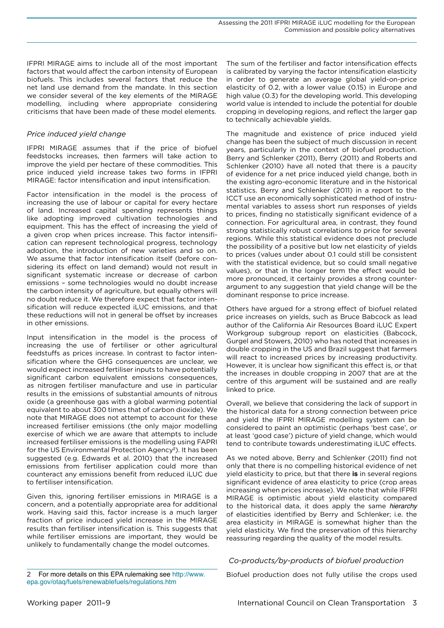<span id="page-2-0"></span>IFPRI MIRAGE aims to include all of the most important factors that would affect the carbon intensity of European biofuels. This includes several factors that reduce the net land use demand from the mandate. In this section we consider several of the key elements of the MIRAGE modelling, including where appropriate considering criticisms that have been made of these model elements.

# *Price induced yield change*

IFPRI MIRAGE assumes that if the price of biofuel feedstocks increases, then farmers will take action to improve the yield per hectare of these commodities. This price induced yield increase takes two forms in IFPRI MIRAGE: factor intensification and input intensification.

Factor intensification in the model is the process of increasing the use of labour or capital for every hectare of land. Increased capital spending represents things like adopting improved cultivation technologies and equipment. This has the effect of increasing the yield of a given crop when prices increase. This factor intensification can represent technological progress, technology adoption, the introduction of new varieties and so on. We assume that factor intensification itself (before considering its effect on land demand) would not result in significant systematic increase or decrease of carbon emissions – some technologies would no doubt increase the carbon intensity of agriculture, but equally others will no doubt reduce it. We therefore expect that factor intensification will reduce expected iLUC emissions, and that these reductions will not in general be offset by increases in other emissions.

Input intensification in the model is the process of increasing the use of fertiliser or other agricultural feedstuffs as prices increase. In contrast to factor intensification where the GHG consequences are unclear, we would expect increased fertiliser inputs to have potentially significant carbon equivalent emissions consequences, as nitrogen fertiliser manufacture and use in particular results in the emissions of substantial amounts of nitrous oxide (a greenhouse gas with a global warming potential equivalent to about 300 times that of carbon dioxide). We note that MIRAGE does not attempt to account for these increased fertiliser emissions (the only major modelling exercise of which we are aware that attempts to include increased fertiliser emissions is the modelling using FAPRI for the US Environmental Protection Agency<sup>2</sup>). It has been suggested (e.g. Edwards et al. 2010) that the increased emissions from fertiliser application could more than counteract any emissions benefit from reduced iLUC due to fertiliser intensification.

Given this, ignoring fertiliser emissions in MIRAGE is a concern, and a potentially appropriate area for additional work. Having said this, factor increase is a much larger fraction of price induced yield increase in the MIRAGE results than fertiliser intensification is. This suggests that while fertiliser emissions are important, they would be unlikely to fundamentally change the model outcomes.

The sum of the fertiliser and factor intensification effects is calibrated by varying the factor intensification elasticity in order to generate an average global yield-on-price elasticity of 0.2, with a lower value (0.15) in Europe and high value (0.3) for the developing world. This developing world value is intended to include the potential for double cropping in developing regions, and reflect the larger gap to technically achievable yields.

The magnitude and existence of price induced yield change has been the subject of much discussion in recent years, particularly in the context of biofuel production. Berry and Schlenker (2011), Berry (2011) and Roberts and Schlenker (2010) have all noted that there is a paucity of evidence for a net price induced yield change, both in the existing agro-economic literature and in the historical statistics. Berry and Schlenker (2011) in a report to the ICCT use an economically sophisticated method of instrumental variables to assess short run responses of yields to prices, finding no statistically significant evidence of a connection. For agricultural area, in contrast, they found strong statistically robust correlations to price for several regions. While this statistical evidence does not preclude the possibility of a positive but low net elasticity of yields to prices (values under about 0.1 could still be consistent with the statistical evidence, but so could small negative values), or that in the longer term the effect would be more pronounced, it certainly provides a strong counterargument to any suggestion that yield change will be the dominant response to price increase.

Others have argued for a strong effect of biofuel related price increases on yields, such as Bruce Babcock as lead author of the California Air Resources Board iLUC Expert Workgroup subgroup report on elasticities (Babcock, Gurgel and Stowers, 2010) who has noted that increases in double cropping in the US and Brazil suggest that farmers will react to increased prices by increasing productivity. However, it is unclear how significant this effect is, or that the increases in double cropping in 2007 that are at the centre of this argument will be sustained and are really linked to price.

Overall, we believe that considering the lack of support in the historical data for a strong connection between price and yield the IFPRI MIRAGE modelling system can be considered to paint an optimistic (perhaps 'best case', or at least 'good case') picture of yield change, which would tend to contribute towards underestimating iLUC effects.

As we noted above, Berry and Schlenker (2011) find not only that there is no compelling historical evidence of net yield elasticity to price, but that there **is** in several regions significant evidence of area elasticity to price (crop areas increasing when prices increase). We note that while IFPRI MIRAGE is optimistic about yield elasticity compared to the historical data, it does apply the same *hierarchy* of elasticities identified by Berry and Schlenker; i.e. the area elasticity in MIRAGE is somewhat higher than the yield elasticity. We find the preservation of this hierarchy reassuring regarding the quality of the model results.

# *Co-products/by-products of biofuel production*

Biofuel production does not fully utilise the crops used

<sup>2</sup> For more details on this EPA rulemaking see [http://www.](http://www.epa.gov/otaq/fuels/renewablefuels/regulations.htm) [epa.gov/otaq/fuels/renewablefuels/regulations.htm](http://www.epa.gov/otaq/fuels/renewablefuels/regulations.htm)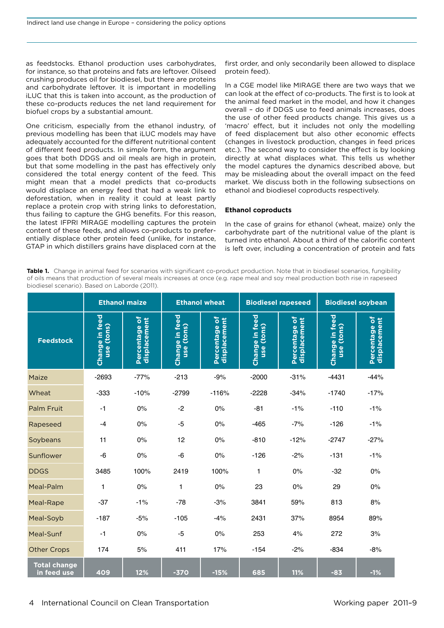as feedstocks. Ethanol production uses carbohydrates, for instance, so that proteins and fats are leftover. Oilseed crushing produces oil for biodiesel, but there are proteins and carbohydrate leftover. It is important in modelling iLUC that this is taken into account, as the production of these co-products reduces the net land requirement for biofuel crops by a substantial amount.

One criticism, especially from the ethanol industry, of previous modelling has been that iLUC models may have adequately accounted for the different nutritional content of different feed products. In simple form, the argument goes that both DDGS and oil meals are high in protein, but that some modelling in the past has effectively only considered the total energy content of the feed. This might mean that a model predicts that co-products would displace an energy feed that had a weak link to deforestation, when in reality it could at least partly replace a protein crop with string links to deforestation, thus failing to capture the GHG benefits. For this reason, the latest IFPRI MIRAGE modelling captures the protein content of these feeds, and allows co-products to preferentially displace other protein feed (unlike, for instance, GTAP in which distillers grains have displaced corn at the

first order, and only secondarily been allowed to displace protein feed).

In a CGE model like MIRAGE there are two ways that we can look at the effect of co-products. The first is to look at the animal feed market in the model, and how it changes overall – do if DDGS use to feed animals increases, does the use of other feed products change. This gives us a 'macro' effect, but it includes not only the modelling of feed displacement but also other economic effects (changes in livestock production, changes in feed prices etc.). The second way to consider the effect is by looking directly at what displaces what. This tells us whether the model captures the dynamics described above, but may be misleading about the overall impact on the feed market. We discuss both in the following subsections on ethanol and biodiesel coproducts respectively.

#### **Ethanol coproducts**

In the case of grains for ethanol (wheat, maize) only the carbohydrate part of the nutritional value of the plant is turned into ethanol. About a third of the calorific content is left over, including a concentration of protein and fats

<span id="page-3-0"></span>Table 1. Change in animal feed for scenarios with significant co-product production. Note that in biodiesel scenarios, fungibility of oils means that production of several meals increases at once (e.g. rape meal and soy meal production both rise in rapeseed biodiesel scenario). Based on Laborde (2011).

|                                    | <b>Ethanol maize</b><br><b>Ethanol wheat</b> |                               |                              | <b>Biodiesel rapeseed</b>     |                              | <b>Biodiesel soybean</b>      |                                 |                               |
|------------------------------------|----------------------------------------------|-------------------------------|------------------------------|-------------------------------|------------------------------|-------------------------------|---------------------------------|-------------------------------|
| <b>Feedstock</b>                   | <b>Change in feed</b><br>use (tons)          | Percentage of<br>displacement | Change in feed<br>use (tons) | Percentage of<br>displacement | Change in feed<br>use (tons) | Percentage of<br>displacement | Change in feed<br>(tons)<br>use | Percentage of<br>displacement |
| Maize                              | $-2693$                                      | $-77%$                        | $-213$                       | $-9%$                         | $-2000$                      | $-31%$                        | $-4431$                         | $-44%$                        |
| Wheat                              | $-333$                                       | $-10%$                        | $-2799$                      | $-116%$                       | $-2228$                      | $-34%$                        | $-1740$                         | $-17%$                        |
| Palm Fruit                         | $-1$                                         | 0%                            | $-2$                         | 0%                            | $-81$                        | $-1%$                         | $-110$                          | $-1%$                         |
| Rapeseed                           | $-4$                                         | 0%                            | $-5$                         | 0%                            | $-465$                       | $-7%$                         | $-126$                          | $-1%$                         |
| Soybeans                           | 11                                           | 0%                            | 12                           | 0%                            | $-810$                       | $-12%$                        | $-2747$                         | $-27%$                        |
| Sunflower                          | $-6$                                         | 0%                            | $-6$                         | 0%                            | $-126$                       | $-2%$                         | $-131$                          | $-1%$                         |
| <b>DDGS</b>                        | 3485                                         | 100%                          | 2419                         | 100%                          | 1                            | 0%                            | $-32$                           | 0%                            |
| Meal-Palm                          | 1                                            | 0%                            | 1                            | 0%                            | 23                           | 0%                            | 29                              | 0%                            |
| Meal-Rape                          | $-37$                                        | $-1%$                         | $-78$                        | $-3%$                         | 3841                         | 59%                           | 813                             | 8%                            |
| Meal-Soyb                          | $-187$                                       | $-5%$                         | $-105$                       | $-4%$                         | 2431                         | 37%                           | 8954                            | 89%                           |
| Meal-Sunf                          | $-1$                                         | 0%                            | $-5$                         | 0%                            | 253                          | 4%                            | 272                             | 3%                            |
| <b>Other Crops</b>                 | 174                                          | 5%                            | 411                          | 17%                           | $-154$                       | $-2%$                         | $-834$                          | $-8%$                         |
| <b>Total change</b><br>in feed use | 409                                          | 12%                           | $-370$                       | $-15%$                        | 685                          | 11%                           | $-83$                           | $-1%$                         |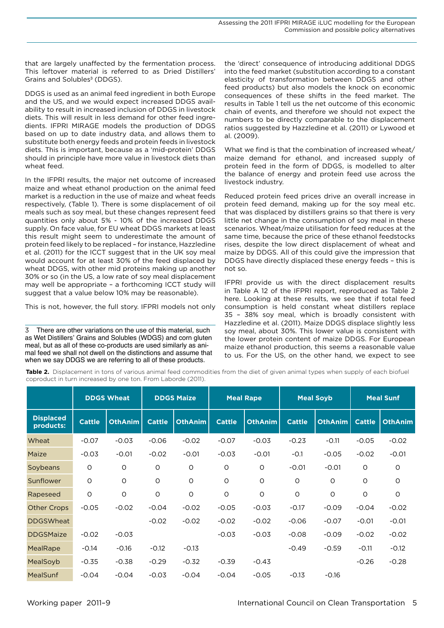that are largely unaffected by the fermentation process. This leftover material is referred to as Dried Distillers' Grains and Solubles<sup>3</sup> (DDGS).

DDGS is used as an animal feed ingredient in both Europe and the US, and we would expect increased DDGS availability to result in increased inclusion of DDGS in livestock diets. This will result in less demand for other feed ingredients. IFPRI MIRAGE models the production of DDGS based on up to date industry data, and allows them to substitute both energy feeds and protein feeds in livestock diets. This is important, because as a 'mid-protein' DDGS should in principle have more value in livestock diets than wheat feed.

In the IFPRI results, the major net outcome of increased maize and wheat ethanol production on the animal feed market is a reduction in the use of maize and wheat feeds respectively, [\(Table 1](#page-3-0)). There is some displacement of oil meals such as soy meal, but these changes represent feed quantities only about 5% - 10% of the increased DDGS supply. On face value, for EU wheat DDGS markets at least this result might seem to underestimate the amount of protein feed likely to be replaced – for instance, Hazzledine et al. (2011) for the ICCT suggest that in the UK soy meal would account for at least 30% of the feed displaced by wheat DDGS, with other mid proteins making up another 30% or so (in the US, a low rate of soy meal displacement may well be appropriate – a forthcoming ICCT study will suggest that a value below 10% may be reasonable).

This is not, however, the full story. IFPRI models not only

3 There are other variations on the use of this material, such as Wet Distillers' Grains and Solubles (WDGS) and corn gluten meal, but as all of these co-products are used similarly as animal feed we shall not dwell on the distinctions and assume that when we say DDGS we are referring to all of these products.

the 'direct' consequence of introducing additional DDGS into the feed market (substitution according to a constant elasticity of transformation between DDGS and other feed products) but also models the knock on economic consequences of these shifts in the feed market. The results in [Table 1](#page-3-0) tell us the net outcome of this economic chain of events, and therefore we should not expect the numbers to be directly comparable to the displacement ratios suggested by Hazzledine et al. (2011) or Lywood et al. (2009).

What we find is that the combination of increased wheat/ maize demand for ethanol, and increased supply of protein feed in the form of DDGS, is modelled to alter the balance of energy and protein feed use across the livestock industry.

Reduced protein feed prices drive an overall increase in protein feed demand, making up for the soy meal etc. that was displaced by distillers grains so that there is very little net change in the consumption of soy meal in these scenarios. Wheat/maize utilisation for feed reduces at the same time, because the price of these ethanol feedstocks rises, despite the low direct displacement of wheat and maize by DDGS. All of this could give the impression that DDGS have directly displaced these energy feeds – this is not so.

IFPRI provide us with the direct displacement results in Table A 12 of the IFPRI report, reproduced as [Table 2](#page-4-0)  here. Looking at these results, we see that if total feed consumption is held constant wheat distillers replace 35 – 38% soy meal, which is broadly consistent with Hazzledine et al. (2011). Maize DDGS displace slightly less soy meal, about 30%. This lower value is consistent with the lower protein content of maize DDGS. For European maize ethanol production, this seems a reasonable value to us. For the US, on the other hand, we expect to see

<span id="page-4-0"></span>**Table 2.** Displacement in tons of various animal feed commodities from the diet of given animal types when supply of each biofuel coproduct in turn increased by one ton. From Laborde (2011).

|                               |               | <b>DDGS Wheat</b> |               | <b>DDGS Maize</b> | <b>Meal Rape</b> |                | <b>Meal Soyb</b> |                | <b>Meal Sunf</b> |                |
|-------------------------------|---------------|-------------------|---------------|-------------------|------------------|----------------|------------------|----------------|------------------|----------------|
| <b>Displaced</b><br>products: | <b>Cattle</b> | <b>OthAnim</b>    | <b>Cattle</b> | <b>OthAnim</b>    | <b>Cattle</b>    | <b>OthAnim</b> | <b>Cattle</b>    | <b>OthAnim</b> | <b>Cattle</b>    | <b>OthAnim</b> |
| Wheat                         | $-0.07$       | $-0.03$           | $-0.06$       | $-0.02$           | $-0.07$          | $-0.03$        | $-0.23$          | $-0.11$        | $-0.05$          | $-0.02$        |
| Maize                         | $-0.03$       | $-0.01$           | $-0.02$       | $-0.01$           | $-0.03$          | $-0.01$        | $-0.1$           | $-0.05$        | $-0.02$          | $-0.01$        |
| Soybeans                      | O             | $\circ$           | $\circ$       | O                 | $\circ$          | $\circ$        | $-0.01$          | $-0.01$        | $\circ$          | $\circ$        |
| Sunflower                     | O             | $\circ$           | $\circ$       | O                 | 0                | $\circ$        | O                | $\circ$        | $\circ$          | $\Omega$       |
| Rapeseed                      | O             | $\circ$           | $\circ$       | $\circ$           | $\circ$          | $\circ$        | $\circ$          | $\circ$        | $\circ$          | $\circ$        |
| <b>Other Crops</b>            | $-0.05$       | $-0.02$           | $-0.04$       | $-0.02$           | $-0.05$          | $-0.03$        | $-0.17$          | $-0.09$        | $-0.04$          | $-0.02$        |
| <b>DDGSWheat</b>              |               |                   | $-0.02$       | $-0.02$           | $-0.02$          | $-0.02$        | $-0.06$          | $-0.07$        | $-0.01$          | $-0.01$        |
| <b>DDGSMaize</b>              | $-0.02$       | $-0.03$           |               |                   | $-0.03$          | $-0.03$        | $-0.08$          | $-0.09$        | $-0.02$          | $-0.02$        |
| <b>MealRape</b>               | $-0.14$       | $-0.16$           | $-0.12$       | $-0.13$           |                  |                | $-0.49$          | $-0.59$        | $-0.11$          | $-0.12$        |
| MealSoyb                      | $-0.35$       | $-0.38$           | $-0.29$       | $-0.32$           | $-0.39$          | $-0.43$        |                  |                | $-0.26$          | $-0.28$        |
| <b>MealSunf</b>               | $-0.04$       | $-0.04$           | $-0.03$       | $-0.04$           | $-0.04$          | $-0.05$        | $-0.13$          | $-0.16$        |                  |                |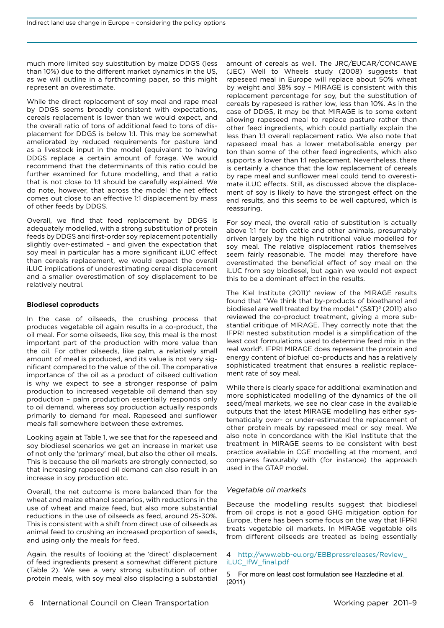<span id="page-5-0"></span>much more limited soy substitution by maize DDGS (less than 10%) due to the different market dynamics in the US, as we will outline in a forthcoming paper, so this might represent an overestimate.

While the direct replacement of soy meal and rape meal by DDGS seems broadly consistent with expectations, cereals replacement is lower than we would expect, and the overall ratio of tons of additional feed to tons of displacement for DDGS is below 1:1. This may be somewhat ameliorated by reduced requirements for pasture land as a livestock input in the model (equivalent to having DDGS replace a certain amount of forage. We would recommend that the determinants of this ratio could be further examined for future modelling, and that a ratio that is not close to 1:1 should be carefully explained. We do note, however, that across the model the net effect comes out close to an effective 1:1 displacement by mass of other feeds by DDGS.

Overall, we find that feed replacement by DDGS is adequately modelled, with a strong substitution of protein feeds by DDGS and first-order soy replacement potentially slightly over-estimated – and given the expectation that soy meal in particular has a more significant iLUC effect than cereals replacement, we would expect the overall iLUC implications of underestimating cereal displacement and a smaller overestimation of soy displacement to be relatively neutral.

#### **Biodiesel coproducts**

In the case of oilseeds, the crushing process that produces vegetable oil again results in a co-product, the oil meal. For some oilseeds, like soy, this meal is the most important part of the production with more value than the oil. For other oilseeds, like palm, a relatively small amount of meal is produced, and its value is not very significant compared to the value of the oil. The comparative importance of the oil as a product of oilseed cultivation is why we expect to see a stronger response of palm production to increased vegetable oil demand than soy production – palm production essentially responds only to oil demand, whereas soy production actually responds primarily to demand for meal. Rapeseed and sunflower meals fall somewhere between these extremes.

Looking again at [Table 1,](#page-3-0) we see that for the rapeseed and soy biodiesel scenarios we get an increase in market use of not only the 'primary' meal, but also the other oil meals. This is because the oil markets are strongly connected, so that increasing rapeseed oil demand can also result in an increase in soy production etc.

Overall, the net outcome is more balanced than for the wheat and maize ethanol scenarios, with reductions in the use of wheat and maize feed, but also more substantial reductions in the use of oilseeds as feed, around 25-30%. This is consistent with a shift from direct use of oilseeds as animal feed to crushing an increased proportion of seeds, and using only the meals for feed.

Again, the results of looking at the 'direct' displacement of feed ingredients present a somewhat different picture ([Table 2](#page-4-0)). We see a very strong substitution of other protein meals, with soy meal also displacing a substantial amount of cereals as well. The JRC/EUCAR/CONCAWE (JEC) Well to Wheels study (2008) suggests that rapeseed meal in Europe will replace about 50% wheat by weight and 38% soy – MIRAGE is consistent with this replacement percentage for soy, but the substitution of cereals by rapeseed is rather low, less than 10%. As in the case of DDGS, it may be that MIRAGE is to some extent allowing rapeseed meal to replace pasture rather than other feed ingredients, which could partially explain the less than 1:1 overall replacement ratio. We also note that rapeseed meal has a lower metabolisable energy per ton than some of the other feed ingredients, which also supports a lower than 1:1 replacement. Nevertheless, there is certainly a chance that the low replacement of cereals by rape meal and sunflower meal could tend to overestimate iLUC effects. Still, as discussed above the displacement of soy is likely to have the strongest effect on the end results, and this seems to be well captured, which is reassuring.

For soy meal, the overall ratio of substitution is actually above 1:1 for both cattle and other animals, presumably driven largely by the high nutritional value modelled for soy meal. The relative displacement ratios themselves seem fairly reasonable. The model may therefore have overestimated the beneficial effect of soy meal on the iLUC from soy biodiesel, but again we would not expect this to be a dominant effect in the results.

The Kiel Institute (2011)<sup>4</sup> review of the MIRAGE results found that "We think that by-products of bioethanol and biodiesel are well treated by the model." (S&T)<sup>2</sup> (2011) also reviewed the co-product treatment, giving a more substantial critique of MIRAGE. They correctly note that the IFPRI nested substitution model is a simplification of the least cost formulations used to determine feed mix in the real world<sup>5</sup>. IFPRI MIRAGE does represent the protein and energy content of biofuel co-products and has a relatively sophisticated treatment that ensures a realistic replacement rate of soy meal.

While there is clearly space for additional examination and more sophisticated modelling of the dynamics of the oil seed/meal markets, we see no clear case in the available outputs that the latest MIRAGE modelling has either systematically over- or under-estimated the replacement of other protein meals by rapeseed meal or soy meal. We also note in concordance with the Kiel Institute that the treatment in MIRAGE seems to be consistent with best practice available in CGE modelling at the moment, and compares favourably with (for instance) the approach used in the GTAP model.

#### *Vegetable oil markets*

Because the modelling results suggest that biodiesel from oil crops is not a good GHG mitigation option for Europe, there has been some focus on the way that IFPRI treats vegetable oil markets. In MIRAGE vegetable oils from different oilseeds are treated as being essentially

5 For more on least cost formulation see Hazzledine et al. (2011)

<sup>4</sup> [http://www.ebb-eu.org/EBBpressreleases/Review\\_](http://www.ebb-eu.org/EBBpressreleases/Review_iLUC_IfW_final.pdf) [iLUC\\_IfW\\_final.pdf](http://www.ebb-eu.org/EBBpressreleases/Review_iLUC_IfW_final.pdf)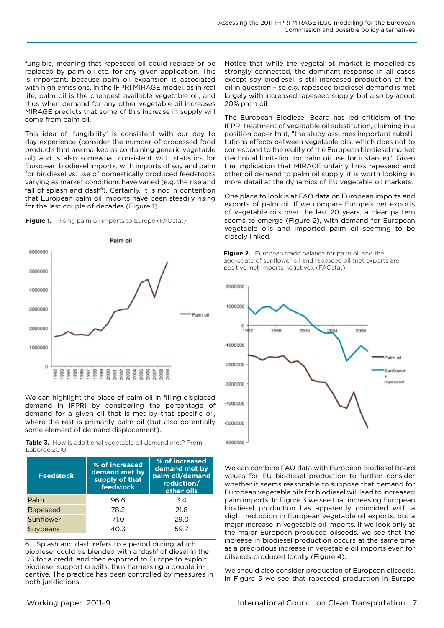fungible, meaning that rapeseed oil could replace or be replaced by palm oil etc. for any given application. This is important, because palm oil expansion is associated with high emissions. In the IFPRI MIRAGE model, as in real life, palm oil is the cheapest available vegetable oil, and thus when demand for any other vegetable oil increases MIRAGE predicts that some of this increase in supply will come from palm oil.

This idea of 'fungibility' is consistent with our day to day experience (consider the number of processed food products that are marked as containing generic vegetable oil) and is also somewhat consistent with statistics for European biodiesel imports, with imports of soy and palm for biodiesel vs. use of domestically produced feedstocks varying as market conditions have varied (e.g. the rise and fall of splash and dash<sup>6</sup>). Certainly, it is not in contention that European palm oil imports have been steadily rising for the last couple of decades ([Figure 1](#page-6-0)).

<span id="page-6-0"></span>



We can highlight the place of palm oil in filling displaced demand in IFPRI by considering the percentage of demand for a given oil that is met by that specific oil, where the rest is primarily palm oil (but also potentially some element of demand displacement).

**Table 3.** How is additional vegetable oil demand met? From Laborde 2010.

| <b>Feedstock</b> | % of increased<br>demand met by<br>supply of that<br>feedstock | % of increased<br>demand met by<br>palm oil/demand<br>reduction/<br>other oils |
|------------------|----------------------------------------------------------------|--------------------------------------------------------------------------------|
| Palm             | 96.6                                                           | 3.4                                                                            |
| Rapeseed         | 78.2                                                           | 21.8                                                                           |
| Sunflower        | 71.O                                                           | 29.0                                                                           |
| Soybeans         | 40.3                                                           | 59.7                                                                           |

6 Splash and dash refers to a period during which biodiesel could be blended with a 'dash' of diesel in the US for a credit, and then exported to Europe to exploit biodiesel support credits, thus harnessing a double incentive. The practice has been controlled by measures in both juridictions.

Notice that while the vegetal oil market is modelled as strongly connected, the dominant response in all cases except soy biodiesel is still increased production of the oil in question – so e.g. rapeseed biodiesel demand is met largely with increased rapeseed supply, but also by about 20% palm oil.

The European Biodiesel Board has led criticism of the IFPRI treatment of vegetable oil substitution, claiming in a position paper that, "the study assumes important substitutions effects between vegetable oils, which does not to correspond to the reality of the European biodiesel market (technical limitation on palm oil use for instance)." Given the implication that MIRAGE unfairly links rapeseed and other oil demand to palm oil supply, it is worth looking in more detail at the dynamics of EU vegetable oil markets.

One place to look is at FAO data on European imports and exports of palm oil. If we compare Europe's net exports of vegetable oils over the last 20 years, a clear pattern seems to emerge [\(Figure 2\)](#page-6-1), with demand for European vegetable oils and imported palm oil seeming to be closely linked.

<span id="page-6-1"></span>



We can combine FAO data with European Biodiesel Board values for EU biodiesel production to further consider whether it seems reasonable to suppose that demand for European vegetable oils for biodiesel will lead to increased palm imports. In [Figure 3](#page-7-0) we see that increasing European biodiesel production has apparently coincided with a slight reduction in European vegetable oil exports, but a major increase in vegetable oil imports. If we look only at the major European produced oilseeds, we see that the increase in biodiesel production occurs at the same time as a precipitous increase in vegetable oil imports even for oilseeds produced locally ([Figure 4](#page-7-1)).

<span id="page-6-2"></span>We should also consider production of European oilseeds. In [Figure 5](#page-6-2) we see that rapeseed production in Europe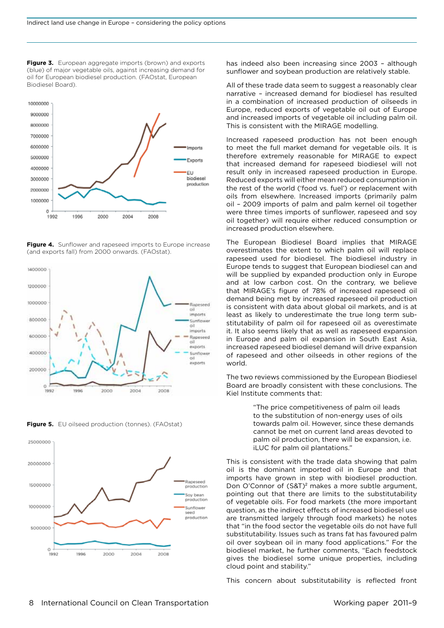<span id="page-7-0"></span>**Figure 3.** European aggregate imports (brown) and exports (blue) of major vegetable oils, against increasing demand for oil for European biodiesel production. (FAOstat, European Biodiesel Board).



<span id="page-7-1"></span>**Figure 4.** Sunflower and rapeseed imports to Europe increase (and exports fall) from 2000 onwards. (FAOstat).



**Figure 5.** EU oilseed production (tonnes). (FAOstat)



has indeed also been increasing since 2003 – although sunflower and soybean production are relatively stable.

All of these trade data seem to suggest a reasonably clear narrative – increased demand for biodiesel has resulted in a combination of increased production of oilseeds in Europe, reduced exports of vegetable oil out of Europe and increased imports of vegetable oil including palm oil. This is consistent with the MIRAGE modelling.

Increased rapeseed production has not been enough to meet the full market demand for vegetable oils. It is therefore extremely reasonable for MIRAGE to expect that increased demand for rapeseed biodiesel will not result only in increased rapeseed production in Europe. Reduced exports will either mean reduced consumption in the rest of the world ('food vs. fuel') or replacement with oils from elsewhere. Increased imports (primarily palm oil – 2009 imports of palm and palm kernel oil together were three times imports of sunflower, rapeseed and soy oil together) will require either reduced consumption or increased production elsewhere.

The European Biodiesel Board implies that MIRAGE overestimates the extent to which palm oil will replace rapeseed used for biodiesel. The biodiesel industry in Europe tends to suggest that European biodiesel can and will be supplied by expanded production only in Europe and at low carbon cost. On the contrary, we believe that MIRAGE's figure of 78% of increased rapeseed oil demand being met by increased rapeseed oil production is consistent with data about global oil markets, and is at least as likely to underestimate the true long term substitutability of palm oil for rapeseed oil as overestimate it. It also seems likely that as well as rapeseed expansion in Europe and palm oil expansion in South East Asia, increased rapeseed biodiesel demand will drive expansion of rapeseed and other oilseeds in other regions of the world.

The two reviews commissioned by the European Biodiesel Board are broadly consistent with these conclusions. The Kiel Institute comments that:

> "The price competitiveness of palm oil leads to the substitution of non-energy uses of oils towards palm oil. However, since these demands cannot be met on current land areas devoted to palm oil production, there will be expansion, i.e. iLUC for palm oil plantations."

This is consistent with the trade data showing that palm oil is the dominant imported oil in Europe and that imports have grown in step with biodiesel production. Don O'Connor of (S&T)<sup>2</sup> makes a more subtle argument, pointing out that there are limits to the substitutability of vegetable oils. For food markets (the more important question, as the indirect effects of increased biodiesel use are transmitted largely through food markets) he notes that "in the food sector the vegetable oils do not have full substitutability. Issues such as trans fat has favoured palm oil over soybean oil in many food applications." For the biodiesel market, he further comments, "Each feedstock gives the biodiesel some unique properties, including cloud point and stability."

This concern about substitutability is reflected front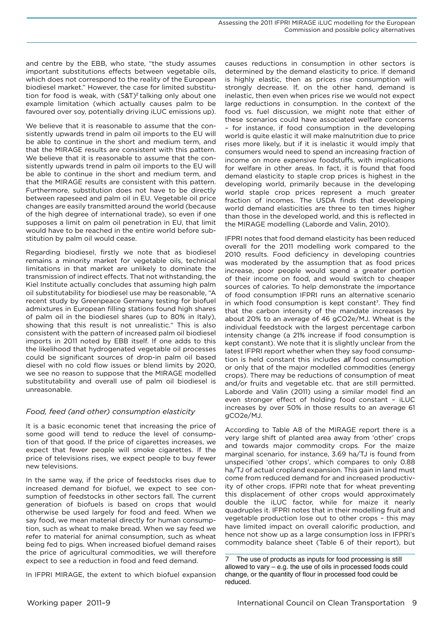<span id="page-8-0"></span>and centre by the EBB, who state, "the study assumes important substitutions effects between vegetable oils, which does not correspond to the reality of the European biodiesel market." However, the case for limited substitution for food is weak, with (S&T)<sup>2</sup> talking only about one example limitation (which actually causes palm to be favoured over soy, potentially driving iLUC emissions up).

We believe that it is reasonable to assume that the consistently upwards trend in palm oil imports to the EU will be able to continue in the short and medium term, and that the MIRAGE results are consistent with this pattern. We believe that it is reasonable to assume that the consistently upwards trend in palm oil imports to the EU will be able to continue in the short and medium term, and that the MIRAGE results are consistent with this pattern. Furthermore, substitution does not have to be directly between rapeseed and palm oil in EU. Vegetable oil price changes are easily transmitted around the world (because of the high degree of international trade), so even if one supposes a limit on palm oil penetration in EU, that limit would have to be reached in the entire world before substitution by palm oil would cease.

Regarding biodiesel, firstly we note that as biodiesel remains a minority market for vegetable oils, technical limitations in that market are unlikely to dominate the transmission of indirect effects. That not withstanding, the Kiel Institute actually concludes that assuming high palm oil substitutability for biodiesel use may be reasonable, "A recent study by Greenpeace Germany testing for biofuel admixtures in European filling stations found high shares of palm oil in the biodiesel shares (up to 80% in Italy), showing that this result is not unrealistic." This is also consistent with the pattern of increased palm oil biodiesel imports in 2011 noted by EBB itself. If one adds to this the likelihood that hydrogenated vegetable oil processes could be significant sources of drop-in palm oil based diesel with no cold flow issues or blend limits by 2020, we see no reason to suppose that the MIRAGE modelled substitutability and overall use of palm oil biodiesel is unreasonable.

# *Food, feed (and other) consumption elasticity*

It is a basic economic tenet that increasing the price of some good will tend to reduce the level of consumption of that good. If the price of cigarettes increases, we expect that fewer people will smoke cigarettes. If the price of televisions rises, we expect people to buy fewer new televisions.

In the same way, if the price of feedstocks rises due to increased demand for biofuel, we expect to see consumption of feedstocks in other sectors fall. The current generation of biofuels is based on crops that would otherwise be used largely for food and feed. When we say food, we mean material directly for human consumption, such as wheat to make bread. When we say feed we refer to material for animal consumption, such as wheat being fed to pigs. When increased biofuel demand raises the price of agricultural commodities, we will therefore expect to see a reduction in food and feed demand.

In IFPRI MIRAGE, the extent to which biofuel expansion

causes reductions in consumption in other sectors is determined by the demand elasticity to price. If demand is highly elastic, then as prices rise consumption will strongly decrease. If, on the other hand, demand is inelastic, then even when prices rise we would not expect large reductions in consumption. In the context of the food vs. fuel discussion, we might note that either of these scenarios could have associated welfare concerns – for instance, if food consumption in the developing world is quite elastic it will make malnutrition due to price rises more likely, but if it is inelastic it would imply that consumers would need to spend an increasing fraction of income on more expensive foodstuffs, with implications for welfare in other areas. In fact, it is found that food demand elasticity to staple crop prices is highest in the developing world, primarily because in the developing world staple crop prices represent a much greater fraction of incomes. The USDA finds that developing world demand elasticities are three to ten times higher than those in the developed world, and this is reflected in the MIRAGE modelling (Laborde and Valin, 2010).

IFPRI notes that food demand elasticity has been reduced overall for the 2011 modelling work compared to the 2010 results. Food deficiency in developing countries was moderated by the assumption that as food prices increase, poor people would spend a greater portion of their income on food, and would switch to cheaper sources of calories. To help demonstrate the importance of food consumption IFPRI runs an alternative scenario in which food consumption is kept constant<sup>7</sup>. They find that the carbon intensity of the mandate increases by about 20% to an average of 46 gCO2e/MJ. Wheat is the individual feedstock with the largest percentage carbon intensity change (a 21% increase if food consumption is kept constant). We note that it is slightly unclear from the latest IFPRI report whether when they say food consumption is held constant this includes *all* food consumption or only that of the major modelled commodities (energy crops). There may be reductions of consumption of meat and/or fruits and vegetable etc. that are still permitted. Laborde and Valin (2011) using a similar model find an even stronger effect of holding food constant – iLUC increases by over 50% in those results to an average 61 gCO2e/MJ.

According to Table A8 of the MIRAGE report there is a very large shift of planted area away from 'other' crops and towards major commodity crops. For the maize marginal scenario, for instance, 3.69 ha/TJ is found from unspecified 'other crops', which compares to only 0.88 ha/TJ of actual cropland expansion. This gain in land must come from reduced demand for and increased productivity of other crops. IFPRI note that for wheat preventing this displacement of other crops would approximately double the iLUC factor, while for maize it nearly quadruples it. IFPRI notes that in their modelling fruit and vegetable production lose out to other crops – this may have limited impact on overall calorific production, and hence not show up as a large consumption loss in IFPRI's commodity balance sheet (Table 6 of their report), but

The use of products as inputs for food processing is still allowed to vary – e.g. the use of oils in processed foods could change, or the quantity of flour in processed food could be reduced.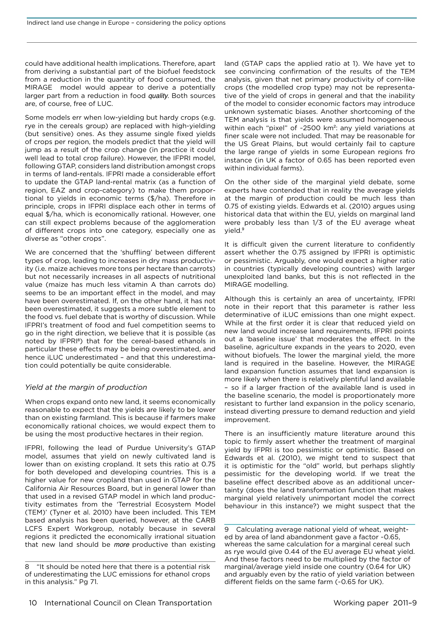<span id="page-9-0"></span>could have additional health implications. Therefore, apart from deriving a substantial part of the biofuel feedstock from a reduction in the quantity of food consumed, the MIRAGE model would appear to derive a potentially larger part from a reduction in food *quality*. Both sources are, of course, free of LUC.

Some models err when low-yielding but hardy crops (e.g. rye in the cereals group) are replaced with high-yielding (but sensitive) ones. As they assume single fixed yields of crops per region, the models predict that the yield will jump as a result of the crop change (in practice it could well lead to total crop failure). However, the IFPRI model, following GTAP, considers land distribution amongst crops in terms of land-rentals. IFPRI made a considerable effort to update the GTAP land-rental matrix (as a function of region, EAZ and crop-category) to make them proportional to yields in economic terms (\$/ha). Therefore in principle, crops in IFPRI displace each other in terms of equal \$/ha, which is economically rational. However, one can still expect problems because of the agglomeration of different crops into one category, especially one as diverse as "other crops".

We are concerned that the 'shuffling' between different types of crop, leading to increases in dry mass productivity (i.e. maize achieves more tons per hectare than carrots) but not necessarily increases in all aspects of nutritional value (maize has much less vitamin A than carrots do) seems to be an important effect in the model, and may have been overestimated. If, on the other hand, it has not been overestimated, it suggests a more subtle element to the food vs. fuel debate that is worthy of discussion. While IFPRI's treatment of food and fuel competition seems to go in the right direction, we believe that it is possible (as noted by IFPRI<sup>8</sup>) that for the cereal-based ethanols in particular these effects may be being overestimated, and hence iLUC underestimated – and that this underestimation could potentially be quite considerable.

## *Yield at the margin of production*

When crops expand onto new land, it seems economically reasonable to expect that the yields are likely to be lower than on existing farmland. This is because if farmers make economically rational choices, we would expect them to be using the most productive hectares in their region.

IFPRI, following the lead of Purdue University's GTAP model, assumes that yield on newly cultivated land is lower than on existing cropland. It sets this ratio at 0.75 for both developed and developing countries. This is a higher value for new cropland than used in GTAP for the California Air Resources Board, but in general lower than that used in a revised GTAP model in which land productivity estimates from the 'Terrestrial Ecosystem Model (TEM)' (Tyner et al. 2010) have been included. This TEM based analysis has been queried, however, at the CARB LCFS Expert Workgroup, notably because in several regions it predicted the economically irrational situation that new land should be *more* productive than existing

land (GTAP caps the applied ratio at 1). We have yet to see convincing confirmation of the results of the TEM analysis, given that net primary productivity of corn-like crops (the modelled crop type) may not be representative of the yield of crops in general and that the inability of the model to consider economic factors may introduce unknown systematic biases. Another shortcoming of the TEM analysis is that yields were assumed homogeneous within each "pixel" of ~2500 km<sup>2</sup>: any yield variations at finer scale were not included. That may be reasonable for the US Great Plains, but would certainly fail to capture the large range of yields in some European regions fro instance (in UK a factor of 0.65 has been reported even within individual farms).

On the other side of the marginal yield debate, some experts have contended that in reality the average yields at the margin of production could be much less than 0.75 of existing yields. Edwards et al. (2010) argues using historical data that within the EU, yields on marginal land were probably less than 1/3 of the EU average wheat yield.<sup>9</sup>

It is difficult given the current literature to confidently assert whether the 0.75 assigned by IFPRI is optimistic or pessimistic. Arguably, one would expect a higher ratio in countries (typically developing countries) with larger unexploited land banks, but this is not reflected in the MIRAGE modelling.

Although this is certainly an area of uncertainty, IFPRI note in their report that this parameter is rather less determinative of iLUC emissions than one might expect. While at the first order it is clear that reduced yield on new land would increase land requirements, IFPRI points out a 'baseline issue' that moderates the effect. In the baseline, agriculture expands in the years to 2020, even without biofuels. The lower the marginal yield, the more land is required in the baseline. However, the MIRAGE land expansion function assumes that land expansion is more likely when there is relatively plentiful land available – so if a larger fraction of the available land is used in the baseline scenario, the model is proportionately more resistant to further land expansion in the policy scenario, instead diverting pressure to demand reduction and yield improvement.

There is an insufficiently mature literature around this topic to firmly assert whether the treatment of marginal yield by IFPRI is too pessimistic or optimistic. Based on Edwards et al. (2010), we might tend to suspect that it is optimistic for the "old" world, but perhaps slightly pessimistic for the developing world. If we treat the baseline effect described above as an additional uncertainty (does the land transformation function that makes marginal yield relatively unimportant model the correct behaviour in this instance?) we might suspect that the

<sup>8 &</sup>quot;It should be noted here that there is a potential risk of underestimating the LUC emissions for ethanol crops in this analysis." Pg 71.

<sup>9</sup> Calculating average national yield of wheat, weighted by area of land abandonment gave a factor ~0.65, whereas the same calculation for a marginal cereal such as rye would give 0.44 of the EU average EU wheat yield. And these factors need to be multiplied by the factor of marginal/average yield inside one country (0.64 for UK) and arguably even by the ratio of yield variation between different fields on the same farm (~0.65 for UK).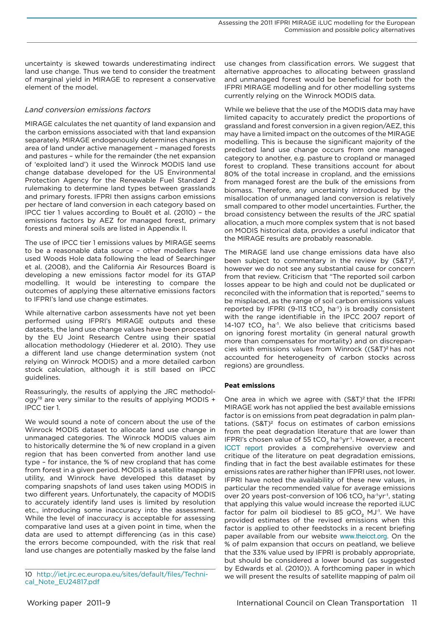<span id="page-10-0"></span>uncertainty is skewed towards underestimating indirect land use change. Thus we tend to consider the treatment of marginal yield in MIRAGE to represent a conservative element of the model.

# *Land conversion emissions factors*

MIRAGE calculates the net quantity of land expansion and the carbon emissions associated with that land expansion separately. MIRAGE endogenously determines changes in area of land under active management – managed forests and pastures – while for the remainder (the net expansion of 'exploited land') it used the Winrock MODIS land use change database developed for the US Environmental Protection Agency for the Renewable Fuel Standard 2 rulemaking to determine land types between grasslands and primary forests. IFPRI then assigns carbon emissions per hectare of land conversion in each category based on IPCC tier 1 values according to Bouët et al. (2010) – the emissions factors by AEZ for managed forest, primary forests and mineral soils are listed in Appendix II.

The use of IPCC tier 1 emissions values by MIRAGE seems to be a reasonable data source – other modellers have used Woods Hole data following the lead of Searchinger et al. (2008), and the California Air Resources Board is developing a new emissions factor model for its GTAP modelling. It would be interesting to compare the outcomes of applying these alternative emissions factors to IFPRI's land use change estimates.

While alternative carbon assessments have not yet been performed using IFPRI's MIRAGE outputs and these datasets, the land use change values have been processed by the EU Joint Research Centre using their spatial allocation methodology (Hiederer et al. 2010). They use a different land use change determination system (not relying on Winrock MODIS) and a more detailed carbon stock calculation, although it is still based on IPCC guidelines.

Reassuringly, the results of applying the JRC methodology<sup>10</sup> are very similar to the results of applying MODIS + IPCC tier 1.

We would sound a note of concern about the use of the Winrock MODIS dataset to allocate land use change in unmanaged categories. The Winrock MODIS values aim to historically determine the % of new cropland in a given region that has been converted from another land use type – for instance, the % of new cropland that has come from forest in a given period. MODIS is a satellite mapping utility, and Winrock have developed this dataset by comparing snapshots of land uses taken using MODIS in two different years. Unfortunately, the capacity of MODIS to accurately identify land uses is limited by resolution etc., introducing some inaccuracy into the assessment. While the level of inaccuracy is acceptable for assessing comparative land uses at a given point in time, when the data are used to attempt differencing (as in this case) the errors become compounded, with the risk that real land use changes are potentially masked by the false land

use changes from classification errors. We suggest that alternative approaches to allocating between grassland and unmanaged forest would be beneficial for both the IFPRI MIRAGE modelling and for other modelling systems currently relying on the Winrock MODIS data.

While we believe that the use of the MODIS data may have limited capacity to accurately predict the proportions of grassland and forest conversion in a given region/AEZ, this may have a limited impact on the outcomes of the MIRAGE modelling. This is because the significant majority of the predicted land use change occurs from one managed category to another, e.g. pasture to cropland or managed forest to cropland. These transitions account for about 80% of the total increase in cropland, and the emissions from managed forest are the bulk of the emissions from biomass. Therefore, any uncertainty introduced by the misallocation of unmanaged land conversion is relatively small compared to other model uncertainties. Further, the broad consistency between the results of the JRC spatial allocation, a much more complex system that is not based on MODIS historical data, provides a useful indicator that the MIRAGE results are probably reasonable.

The MIRAGE land use change emissions data have also been subject to commentary in the review by  $(S\&T)^2$ , however we do not see any substantial cause for concern from that review. Criticism that "The reported soil carbon losses appear to be high and could not be duplicated or reconciled with the information that is reported," seems to be misplaced, as the range of soil carbon emissions values reported by IFPRI (9-113 tCO<sub>2</sub> ha<sup>-1</sup>) is broadly consistent with the range identifiable in the IPCC 2007 report of 14-107  $\mathsf{tCO}_2$  ha<sup>-1</sup>. We also believe that criticisms based on ignoring forest mortality (in general natural growth more than compensates for mortality) and on discrepancies with emissions values from Winrock ((S&T)2 has not accounted for heterogeneity of carbon stocks across regions) are groundless.

## **Peat emissions**

One area in which we agree with (S&T)<sup>2</sup> that the IFPRI MIRAGE work has not applied the best available emissions factor is on emissions from peat degradation in palm plantations.  $(S\&T)^2$  focus on estimates of carbon emissions from the peat degradation literature that are lower than IFPRI's chosen value of 55 tCO<sub>2</sub> ha<sup>-1</sup>yr<sup>-1</sup>. However, a recent ICCT report provides a comprehensive overview and critique of the literature on peat degradation emissions, finding that in fact the best available estimates for these emissions rates are rather higher than IFPRI uses, not lower. IFPRI have noted the availability of these new values, in particular the recommended value for average emissions over 20 years post-conversion of 106 tCO<sub>2</sub> ha<sup>-1</sup>yr<sup>-1</sup>, stating that applying this value would increase the reported iLUC factor for palm oil biodiesel to 85 gCO<sub>2</sub> MJ<sup>-1</sup>. We have provided estimates of the revised emissions when this factor is applied to other feedstocks in a recent briefing paper available from our website [www.theicct.org](http://www.theicct.org). On the % of palm expansion that occurs on peatland, we believe that the 33% value used by IFPRI is probably appropriate, but should be considered a lower bound (as suggested by Edwards et al. (2010)). A forthcoming paper in which we will present the results of satellite mapping of palm oil

<sup>10</sup> [http://iet.jrc.ec.europa.eu/sites/default/files/Techni](http://iet.jrc.ec.europa.eu/sites/default/files/Technical_Note_EU24817.pdf)[cal\\_Note\\_EU24817.pdf](http://iet.jrc.ec.europa.eu/sites/default/files/Technical_Note_EU24817.pdf)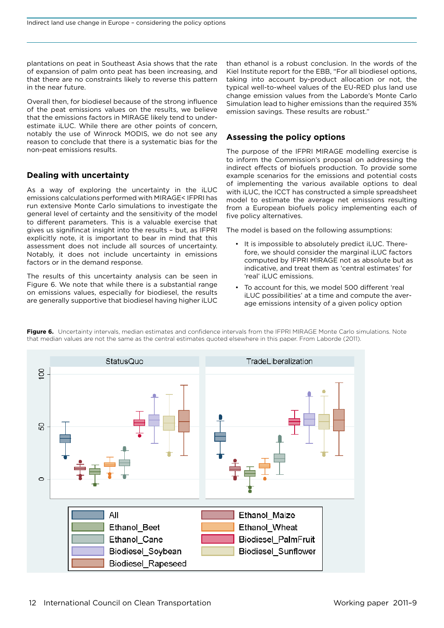<span id="page-11-0"></span>plantations on peat in Southeast Asia shows that the rate of expansion of palm onto peat has been increasing, and that there are no constraints likely to reverse this pattern in the near future.

Overall then, for biodiesel because of the strong influence of the peat emissions values on the results, we believe that the emissions factors in MIRAGE likely tend to underestimate iLUC. While there are other points of concern, notably the use of Winrock MODIS, we do not see any reason to conclude that there is a systematic bias for the non-peat emissions results.

## **Dealing with uncertainty**

As a way of exploring the uncertainty in the iLUC emissions calculations performed with MIRAGE< IFPRI has run extensive Monte Carlo simulations to investigate the general level of certainty and the sensitivity of the model to different parameters. This is a valuable exercise that gives us signifincat insight into the results – but, as IFPRI explicitly note, it is important to bear in mind that this assessment does not include all sources of uncertainty. Notably, it does not include uncertainty in emissions factors or in the demand response.

The results of this uncertainty analysis can be seen in [Figure 6.](#page-11-1) We note that while there is a substantial range on emissions values, especially for biodiesel, the results are generally supportive that biodiesel having higher iLUC

than ethanol is a robust conclusion. In the words of the Kiel Institute report for the EBB, "For all biodiesel options, taking into account by-product allocation or not, the typical well-to-wheel values of the EU-RED plus land use change emission values from the Laborde's Monte Carlo Simulation lead to higher emissions than the required 35% emission savings. These results are robust."

# **Assessing the policy options**

The purpose of the IFPRI MIRAGE modelling exercise is to inform the Commission's proposal on addressing the indirect effects of biofuels production. To provide some example scenarios for the emissions and potential costs of implementing the various available options to deal with iLUC, the ICCT has constructed a simple spreadsheet model to estimate the average net emissions resulting from a European biofuels policy implementing each of five policy alternatives.

The model is based on the following assumptions:

- • It is impossible to absolutely predict iLUC. Therefore, we should consider the marginal iLUC factors computed by IFPRI MIRAGE not as absolute but as indicative, and treat them as 'central estimates' for 'real' iLUC emissions.
- • To account for this, we model 500 different 'real iLUC possibilities' at a time and compute the average emissions intensity of a given policy option



<span id="page-11-1"></span>**Figure 6.** Uncertainty intervals, median estimates and confidence intervals from the IFPRI MIRAGE Monte Carlo simulations. Note that median values are not the same as the central estimates quoted elsewhere in this paper. From Laborde (2011).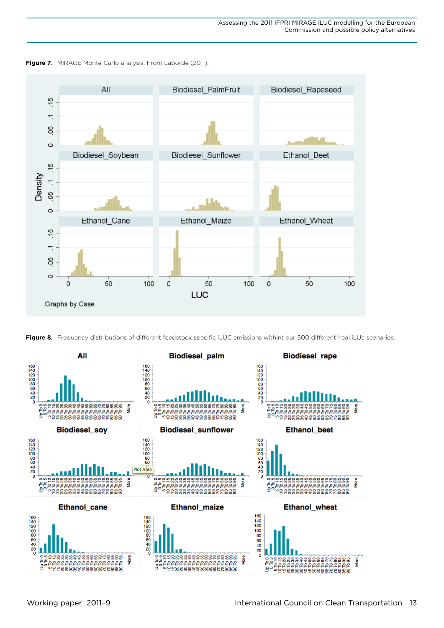

<span id="page-12-0"></span>

<span id="page-12-1"></span>

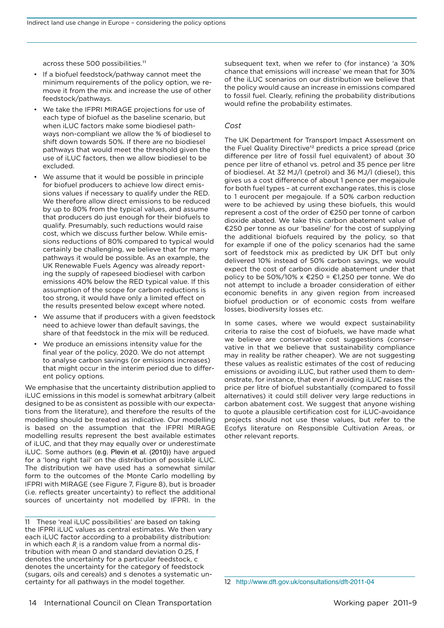<span id="page-13-0"></span>across these 500 possibilities.<sup>11</sup>

- • If a biofuel feedstock/pathway cannot meet the minimum requirements of the policy option, we remove it from the mix and increase the use of other feedstock/pathways.
- We take the IFPRI MIRAGE projections for use of each type of biofuel as the baseline scenario, but when iLUC factors make some biodiesel pathways non-compliant we allow the % of biodiesel to shift down towards 50%. If there are no biodiesel pathways that would meet the threshold given the use of iLUC factors, then we allow biodiesel to be excluded.
- We assume that it would be possible in principle for biofuel producers to achieve low direct emissions values if necessary to qualify under the RED. We therefore allow direct emissions to be reduced by up to 80% from the typical values, and assume that producers do just enough for their biofuels to qualify. Presumably, such reductions would raise cost, which we discuss further below. While emissions reductions of 80% compared to typical would certainly be challenging, we believe that for many pathways it would be possible. As an example, the UK Renewable Fuels Agency was already reporting the supply of rapeseed biodiesel with carbon emissions 40% below the RED typical value. If this assumption of the scope for carbon reductions is too strong, it would have only a limited effect on the results presented below except where noted.
- We assume that if producers with a given feedstock need to achieve lower than default savings, the share of that feedstock in the mix will be reduced.
- We produce an emissions intensity value for the final year of the policy, 2020. We do not attempt to analyse carbon savings (or emissions increases) that might occur in the interim period due to different policy options.

We emphasise that the uncertainty distribution applied to iLUC emissions in this model is somewhat arbitrary (albeit designed to be as consistent as possible with our expectations from the literature), and therefore the results of the modelling should be treated as indicative. Our modelling is based on the assumption that the IFPRI MIRAGE modelling results represent the best available estimates of iLUC, and that they may equally over or underestimate iLUC. Some authors (e.g. Plevin et al. (2010)) have argued for a 'long right tail' on the distribution of possible iLUC. The distribution we have used has a somewhat similar form to the outcomes of the Monte Carlo modelling by IFPRI with MIRAGE (see [Figure 7](#page-12-0), [Figure 8](#page-12-1)), but is broader (i.e. reflects greater uncertainty) to reflect the additional sources of uncertainty not modelled by IFPRI. In the subsequent text, when we refer to (for instance) 'a 30% chance that emissions will increase' we mean that for 30% of the iLUC scenarios on our distribution we believe that the policy would cause an increase in emissions compared to fossil fuel. Clearly, refining the probability distributions would refine the probability estimates.

# *Cost*

The UK Department for Transport Impact Assessment on the Fuel Quality Directive<sup>12</sup> predicts a price spread (price difference per litre of fossil fuel equivalent) of about 30 pence per litre of ethanol vs. petrol and 35 pence per litre of biodiesel. At 32 MJ/l (petrol) and 36 MJ/l (diesel), this gives us a cost difference of about 1 pence per megajoule for both fuel types – at current exchange rates, this is close to 1 eurocent per megajoule. If a 50% carbon reduction were to be achieved by using these biofuels, this would represent a cost of the order of €250 per tonne of carbon dioxide abated. We take this carbon abatement value of €250 per tonne as our 'baseline' for the cost of supplying the additional biofuels required by the policy, so that for example if one of the policy scenarios had the same sort of feedstock mix as predicted by UK DfT but only delivered 10% instead of 50% carbon savings, we would expect the cost of carbon dioxide abatement under that policy to be 50%/10% x €250 = €1,250 per tonne. We do not attempt to include a broader consideration of either economic benefits in any given region from increased biofuel production or of economic costs from welfare losses, biodiversity losses etc.

In some cases, where we would expect sustainability criteria to raise the cost of biofuels, we have made what we believe are conservative cost suggestions (conservative in that we believe that sustainability compliance may in reality be rather cheaper). We are not suggesting these values as realistic estimates of the cost of reducing emissions or avoiding iLUC, but rather used them to demonstrate, for instance, that even if avoiding iLUC raises the price per litre of biofuel substantially (compared to fossil alternatives) it could still deliver very large reductions in carbon abatement cost. We suggest that anyone wishing to quote a plausible certification cost for iLUC-avoidance projects should not use these values, but refer to the Ecofys literature on Responsible Cultivation Areas, or other relevant reports.

12 <http://www.dft.gov.uk/consultations/dft-2011-04>

<sup>11</sup> These 'real iLUC possibilities' are based on taking the IFPRI iLUC values as central estimates. We then vary each iLUC factor according to a probability distribution: in which each *Ri* is a random value from a normal distribution with mean 0 and standard deviation 0.25, f denotes the uncertainty for a particular feedstock, c denotes the uncertainty for the category of feedstock (sugars, oils and cereals) and s denotes a systematic uncertainty for all pathways in the model together.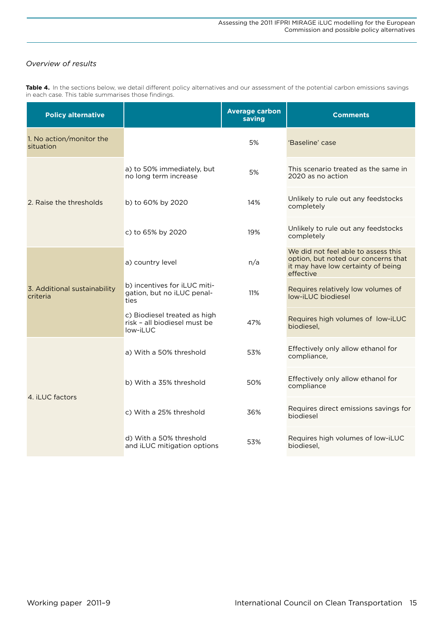# <span id="page-14-0"></span>*Overview of results*

| <b>Policy alternative</b>                |                                                                          | <b>Average carbon</b><br>saving | <b>Comments</b>                                                                                                               |  |
|------------------------------------------|--------------------------------------------------------------------------|---------------------------------|-------------------------------------------------------------------------------------------------------------------------------|--|
| 1. No action/monitor the<br>situation    |                                                                          | 5%                              | 'Baseline' case                                                                                                               |  |
| 2. Raise the thresholds                  | a) to 50% immediately, but<br>no long term increase                      | 5%                              | This scenario treated as the same in<br>2020 as no action                                                                     |  |
|                                          | b) to 60% by 2020                                                        | 14%                             | Unlikely to rule out any feedstocks<br>completely                                                                             |  |
|                                          | c) to 65% by 2020                                                        | 19%                             | Unlikely to rule out any feedstocks<br>completely                                                                             |  |
| 3. Additional sustainability<br>criteria | a) country level                                                         | n/a                             | We did not feel able to assess this<br>option, but noted our concerns that<br>it may have low certainty of being<br>effective |  |
|                                          | b) incentives for iLUC miti-<br>gation, but no iLUC penal-<br>ties       | 11%                             | Requires relatively low volumes of<br>low-iLUC biodiesel                                                                      |  |
|                                          | c) Biodiesel treated as high<br>risk - all biodiesel must be<br>low-iLUC | 47%                             | Requires high volumes of low-iLUC<br>biodiesel,                                                                               |  |
|                                          | a) With a 50% threshold                                                  | 53%                             | Effectively only allow ethanol for<br>compliance.                                                                             |  |
|                                          | b) With a 35% threshold                                                  | 50%                             | Effectively only allow ethanol for<br>compliance                                                                              |  |
| 4. iLUC factors                          | c) With a 25% threshold                                                  | 36%                             | Requires direct emissions savings for<br>biodiesel                                                                            |  |
|                                          | d) With a 50% threshold<br>and iLUC mitigation options                   | 53%                             | Requires high volumes of low-iLUC<br>biodiesel.                                                                               |  |

**Table 4.** In the sections below, we detail different policy alternatives and our assessment of the potential carbon emissions savings in each case. This table summarises those findings.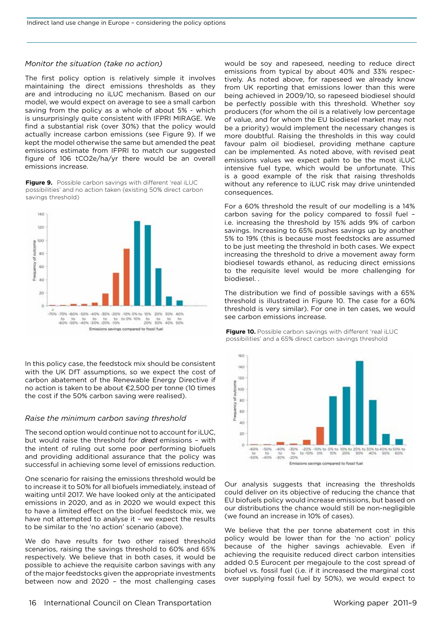#### <span id="page-15-0"></span>*Monitor the situation (take no action)*

The first policy option is relatively simple it involves maintaining the direct emissions thresholds as they are and introducing no iLUC mechanism. Based on our model, we would expect on average to see a small carbon saving from the policy as a whole of about 5% - which is unsurprisingly quite consistent with IFPRI MIRAGE. We find a substantial risk (over 30%) that the policy would actually increase carbon emissions (see [Figure 9](#page-15-1)). If we kept the model otherwise the same but amended the peat emissions estimate from IFPRI to match our suggested figure of 106 tCO2e/ha/yr there would be an overall emissions increase.

<span id="page-15-1"></span>**Figure 9.** Possible carbon savings with different 'real iLUC possibilities' and no action taken (existing 50% direct carbon savings threshold)



In this policy case, the feedstock mix should be consistent with the UK DfT assumptions, so we expect the cost of carbon abatement of the Renewable Energy Directive if no action is taken to be about €2,500 per tonne (10 times the cost if the 50% carbon saving were realised).

#### *Raise the minimum carbon saving threshold*

The second option would continue not to account for iLUC, but would raise the threshold for *direct* emissions – with the intent of ruling out some poor performing biofuels and providing additional assurance that the policy was successful in achieving some level of emissions reduction.

One scenario for raising the emissions threshold would be to increase it to 50% for all biofuels immediately, instead of waiting until 2017. We have looked only at the anticipated emissions in 2020, and as in 2020 we would expect this to have a limited effect on the biofuel feedstock mix, we have not attempted to analyse it - we expect the results to be similar to the 'no action' scenario (above).

We do have results for two other raised threshold scenarios, raising the savings threshold to 60% and 65% respectively. We believe that in both cases, it would be possible to achieve the requisite carbon savings with any of the major feedstocks given the appropriate investments between now and 2020 – the most challenging cases would be soy and rapeseed, needing to reduce direct emissions from typical by about 40% and 33% respectively. As noted above, for rapeseed we already know from UK reporting that emissions lower than this were being achieved in 2009/10, so rapeseed biodiesel should be perfectly possible with this threshold. Whether soy producers (for whom the oil is a relatively low percentage of value, and for whom the EU biodiesel market may not be a priority) would implement the necessary changes is more doubtful. Raising the thresholds in this way could favour palm oil biodiesel, providing methane capture can be implemented. As noted above, with revised peat emissions values we expect palm to be the most iLUC intensive fuel type, which would be unfortunate. This is a good example of the risk that raising thresholds without any reference to iLUC risk may drive unintended consequences.

For a 60% threshold the result of our modelling is a 14% carbon saving for the policy compared to fossil fuel – i.e. increasing the threshold by 15% adds 9% of carbon savings. Increasing to 65% pushes savings up by another 5% to 19% (this is because most feedstocks are assumed to be just meeting the threshold in both cases. We expect increasing the threshold to drive a movement away form biodiesel towards ethanol, as reducing direct emissions to the requisite level would be more challenging for biodiesel. .

The distribution we find of possible savings with a 65% threshold is illustrated in [Figure 1](#page-15-2)0. The case for a 60% threshold is very similar). For one in ten cases, we would see carbon emissions increase.

<span id="page-15-2"></span>



Our analysis suggests that increasing the thresholds could deliver on its objective of reducing the chance that EU biofuels policy would increase emissions, but based on our distributions the chance would still be non-negligible (we found an increase in 10% of cases).

We believe that the per tonne abatement cost in this policy would be lower than for the 'no action' policy because of the higher savings achievable. Even if achieving the requisite reduced direct carbon intensities added 0.5 Eurocent per megajoule to the cost spread of biofuel vs. fossil fuel (i.e. if it increased the marginal cost over supplying fossil fuel by 50%), we would expect to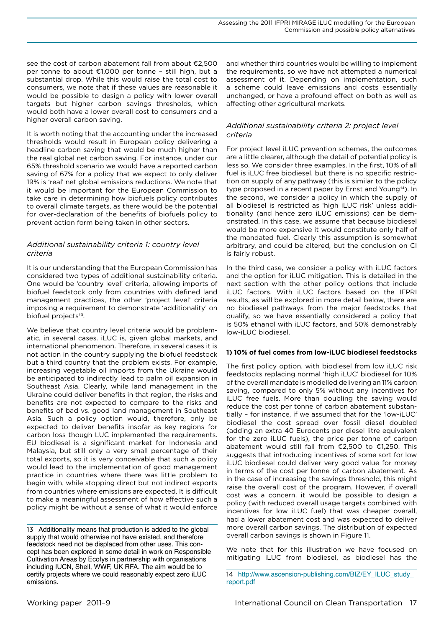<span id="page-16-0"></span>see the cost of carbon abatement fall from about €2,500 per tonne to about €1,000 per tonne – still high, but a substantial drop. While this would raise the total cost to consumers, we note that if these values are reasonable it would be possible to design a policy with lower overall targets but higher carbon savings thresholds, which would both have a lower overall cost to consumers and a higher overall carbon saving.

It is worth noting that the accounting under the increased thresholds would result in European policy delivering a headline carbon saving that would be much higher than the real global net carbon saving. For instance, under our 65% threshold scenario we would have a reported carbon saving of 67% for a policy that we expect to only deliver 19% is 'real' net global emissions reductions. We note that it would be important for the European Commission to take care in determining how biofuels policy contributes to overall climate targets, as there would be the potential for over-declaration of the benefits of biofuels policy to prevent action form being taken in other sectors.

# *Additional sustainability criteria 1: country level criteria*

It is our understanding that the European Commission has considered two types of additional sustainability criteria. One would be 'country level' criteria, allowing imports of biofuel feedstock only from countries with defined land management practices, the other 'project level' criteria imposing a requirement to demonstrate 'additionality' on biofuel projects<sup>13</sup>.

We believe that country level criteria would be problematic, in several cases. iLUC is, given global markets, and international phenomenon. Therefore, in several cases it is not action in the country supplying the biofuel feedstock but a third country that the problem exists. For example, increasing vegetable oil imports from the Ukraine would be anticipated to indirectly lead to palm oil expansion in Southeast Asia. Clearly, while land management in the Ukraine could deliver benefits in that region, the risks and benefits are not expected to compare to the risks and benefits of bad vs. good land management in Southeast Asia. Such a policy option would, therefore, only be expected to deliver benefits insofar as key regions for carbon loss though LUC implemented the requirements. EU biodiesel is a significant market for Indonesia and Malaysia, but still only a very small percentage of their total exports, so it is very conceivable that such a policy would lead to the implementation of good management practice in countries where there was little problem to begin with, while stopping direct but not indirect exports from countries where emissions are expected. It is difficult to make a meaningful assessment of how effective such a policy might be without a sense of what it would enforce

and whether third countries would be willing to implement the requirements, so we have not attempted a numerical assessment of it. Depending on implementation, such a scheme could leave emissions and costs essentially unchanged, or have a profound effect on both as well as affecting other agricultural markets.

# *Additional sustainability criteria 2: project level criteria*

For project level iLUC prevention schemes, the outcomes are a little clearer, although the detail of potential policy is less so. We consider three examples. In the first, 10% of all fuel is iLUC free biodiesel, but there is no specific restriction on supply of any pathway (this is similar to the policy type proposed in a recent paper by Ernst and Young<sup>14</sup>). In the second, we consider a policy in which the supply of all biodiesel is restricted as 'high iLUC risk' unless additionality (and hence zero iLUC emissions) can be demonstrated. In this case, we assume that because biodiesel would be more expensive it would constitute only half of the mandated fuel. Clearly this assumption is somewhat arbitrary, and could be altered, but the conclusion on CI is fairly robust.

In the third case, we consider a policy with iLUC factors and the option for iLUC mitigation. This is detailed in the next section with the other policy options that include iLUC factors. With iLUC factors based on the IFPRI results, as will be explored in more detail below, there are no biodiesel pathways from the major feedstocks that qualify, so we have essentially considered a policy that is 50% ethanol with iLUC factors, and 50% demonstrably low-iLUC biodiesel.

## **1) 10% of fuel comes from low-iLUC biodiesel feedstocks**

The first policy option, with biodiesel from low iLUC risk feedstocks replacing normal 'high iLUC' biodiesel for 10% of the overall mandate is modelled delivering an 11% carbon saving, compared to only 5% without any incentives for iLUC free fuels. More than doubling the saving would reduce the cost per tonne of carbon abatement substantially – for instance, if we assumed that for the 'low-iLUC' biodiesel the cost spread over fossil diesel doubled (adding an extra 40 Eurocents per diesel litre equivalent for the zero iLUC fuels), the price per tonne of carbon abatement would still fall from €2,500 to €1,250. This suggests that introducing incentives of some sort for low iLUC biodiesel could deliver very good value for money in terms of the cost per tonne of carbon abatement. As in the case of increasing the savings threshold, this might raise the overall cost of the program. However, if overall cost was a concern, it would be possible to design a policy (with reduced overall usage targets combined with incentives for low iLUC fuel) that was cheaper overall, had a lower abatement cost and was expected to deliver more overall carbon savings. The distribution of expected overall carbon savings is shown in [Figure 11](#page-17-1).

We note that for this illustration we have focused on mitigating iLUC from biodiesel, as biodiesel has the

<sup>13</sup> Additionality means that production is added to the global supply that would otherwise not have existed, and therefore feedstock need not be displaced from other uses. This concept has been explored in some detail in work on Responsible Cultivation Areas by Ecofys in partnership with organisations including IUCN, Shell, WWF, UK RFA. The aim would be to certify projects where we could reasonably expect zero iLUC emissions.

<sup>14</sup> [http://www.ascension-publishing.com/BIZ/EY\\_ILUC\\_study\\_](http://www.ascension-publishing.com/BIZ/EY_ILUC_study_report.pdf) [report.pdf](http://www.ascension-publishing.com/BIZ/EY_ILUC_study_report.pdf)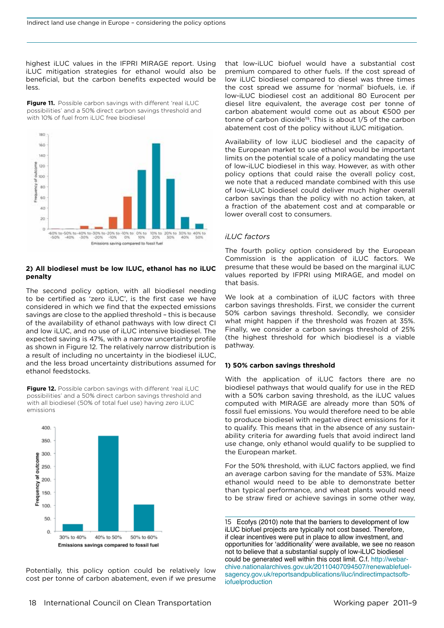<span id="page-17-0"></span>highest iLUC values in the IFPRI MIRAGE report. Using iLUC mitigation strategies for ethanol would also be beneficial, but the carbon benefits expected would be less.

<span id="page-17-1"></span>**Figure 11.** Possible carbon savings with different 'real iLUC possibilities' and a 50% direct carbon savings threshold and with 10% of fuel from iLUC free biodiesel



# **2) All biodiesel must be low ILUC, ethanol has no iLUC penalty**

The second policy option, with all biodiesel needing to be certified as 'zero iLUC', is the first case we have considered in which we find that the expected emissions savings are close to the applied threshold – this is because of the availability of ethanol pathways with low direct CI and low iLUC, and no use of iLUC intensive biodiesel. The expected saving is 47%, with a narrow uncertainty profile as shown in [Figure 1](#page-17-2)2. The relatively narrow distribution is a result of including no uncertainty in the biodiesel iLUC, and the less broad uncertainty distributions assumed for ethanol feedstocks.

<span id="page-17-2"></span>**Figure 12.** Possible carbon savings with different 'real iLUC possibilities' and a 50% direct carbon savings threshold and with all biodiesel (50% of total fuel use) having zero iLUC emissions



Potentially, this policy option could be relatively low cost per tonne of carbon abatement, even if we presume that low-iLUC biofuel would have a substantial cost premium compared to other fuels. If the cost spread of low iLUC biodiesel compared to diesel was three times the cost spread we assume for 'normal' biofuels, i.e. if low-iLUC biodiesel cost an additional 80 Eurocent per diesel litre equivalent, the average cost per tonne of carbon abatement would come out as about €500 per tonne of carbon dioxide<sup>15</sup>. This is about 1/5 of the carbon abatement cost of the policy without iLUC mitigation.

Availability of low iLUC biodiesel and the capacity of the European market to use ethanol would be important limits on the potential scale of a policy mandating the use of low-iLUC biodiesel in this way. However, as with other policy options that could raise the overall policy cost, we note that a reduced mandate combined with this use of low-iLUC biodiesel could deliver much higher overall carbon savings than the policy with no action taken, at a fraction of the abatement cost and at comparable or lower overall cost to consumers.

#### *iLUC factors*

The fourth policy option considered by the European Commission is the application of iLUC factors. We presume that these would be based on the marginal iLUC values reported by IFPRI using MIRAGE, and model on that basis.

We look at a combination of iLUC factors with three carbon savings thresholds. First, we consider the current 50% carbon savings threshold. Secondly, we consider what might happen if the threshold was frozen at 35%. Finally, we consider a carbon savings threshold of 25% (the highest threshold for which biodiesel is a viable pathway.

#### **1) 50% carbon savings threshold**

With the application of iLUC factors there are no biodiesel pathways that would qualify for use in the RED with a 50% carbon saving threshold, as the iLUC values computed with MIRAGE are already more than 50% of fossil fuel emissions. You would therefore need to be able to produce biodiesel with negative direct emissions for it to qualify. This means that in the absence of any sustainability criteria for awarding fuels that avoid indirect land use change, only ethanol would qualify to be supplied to the European market.

For the 50% threshold, with iLUC factors applied, we find an average carbon saving for the mandate of 53%. Maize ethanol would need to be able to demonstrate better than typical performance, and wheat plants would need to be straw fired or achieve savings in some other way,

15 Ecofys (2010) note that the barriers to development of low iLUC biofuel projects are typically not cost based. Therefore, if clear incentives were put in place to allow investment, and opportunities for 'additionality' were available, we see no reason not to believe that a substantial supply of low-iLUC biodiesel could be generated well within this cost limit. C.f. [http://webar](http://webarchive.nationalarchives.gov.uk/20110407094507/renewablefuelsagency.gov.uk/reportsandpublications/iluc/indirectimpactsofbiofuelproduction)[chive.nationalarchives.gov.uk/20110407094507/renewablefuel](http://webarchive.nationalarchives.gov.uk/20110407094507/renewablefuelsagency.gov.uk/reportsandpublications/iluc/indirectimpactsofbiofuelproduction)[sagency.gov.uk/reportsandpublications/iluc/indirectimpactsofb](http://webarchive.nationalarchives.gov.uk/20110407094507/renewablefuelsagency.gov.uk/reportsandpublications/iluc/indirectimpactsofbiofuelproduction)[iofuelproduction](http://webarchive.nationalarchives.gov.uk/20110407094507/renewablefuelsagency.gov.uk/reportsandpublications/iluc/indirectimpactsofbiofuelproduction)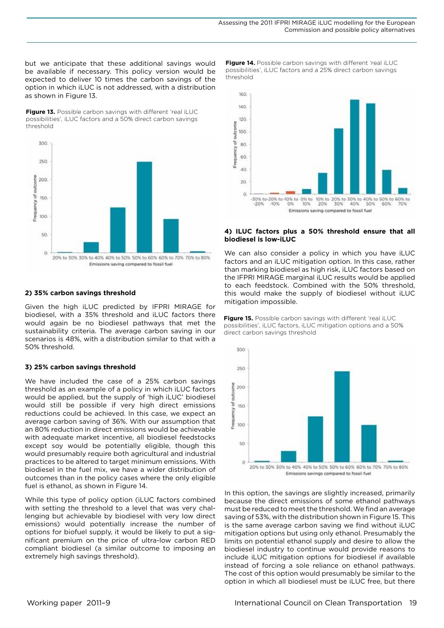but we anticipate that these additional savings would be available if necessary. This policy version would be expected to deliver 10 times the carbon savings of the option in which iLUC is not addressed, with a distribution as shown in [Figure 13](#page-18-0).

<span id="page-18-0"></span>Figure 13. Possible carbon savings with different 'real iLUC possibilities', iLUC factors and a 50% direct carbon savings threshold



#### **2) 35% carbon savings threshold**

Given the high iLUC predicted by IFPRI MIRAGE for biodiesel, with a 35% threshold and iLUC factors there would again be no biodiesel pathways that met the sustainability criteria. The average carbon saving in our scenarios is 48%, with a distribution similar to that with a 50% threshold.

#### **3) 25% carbon savings threshold**

We have included the case of a 25% carbon savings threshold as an example of a policy in which iLUC factors would be applied, but the supply of 'high iLUC' biodiesel would still be possible if very high direct emissions reductions could be achieved. In this case, we expect an average carbon saving of 36%. With our assumption that an 80% reduction in direct emissions would be achievable with adequate market incentive, all biodiesel feedstocks except soy would be potentially eligible, though this would presumably require both agricultural and industrial practices to be altered to target minimum emissions. With biodiesel in the fuel mix, we have a wider distribution of outcomes than in the policy cases where the only eligible fuel is ethanol, as shown in Figure 14.

While this type of policy option (iLUC factors combined with setting the threshold to a level that was very challenging but achievable by biodiesel with very low direct emissions) would potentially increase the number of options for biofuel supply, it would be likely to put a significant premium on the price of ultra-low carbon RED compliant biodiesel (a similar outcome to imposing an extremely high savings threshold).

**Figure 14.** Possible carbon savings with different 'real iLUC possibilities', iLUC factors and a 25% direct carbon savings threshold



#### **4) ILUC factors plus a 50% threshold ensure that all biodiesel is low-iLUC**

We can also consider a policy in which you have iLUC factors and an iLUC mitigation option. In this case, rather than marking biodiesel as high risk, iLUC factors based on the IFPRI MIRAGE marginal iLUC results would be applied to each feedstock. Combined with the 50% threshold, this would make the supply of biodiesel without iLUC mitigation impossible.





In this option, the savings are slightly increased, primarily because the direct emissions of some ethanol pathways must be reduced to meet the threshold. We find an average saving of 53%, with the distribution shown in Figure 15. This is the same average carbon saving we find without iLUC mitigation options but using only ethanol. Presumably the limits on potential ethanol supply and desire to allow the biodiesel industry to continue would provide reasons to include iLUC mitigation options for biodiesel if available instead of forcing a sole reliance on ethanol pathways. The cost of this option would presumably be similar to the option in which all biodiesel must be iLUC free, but there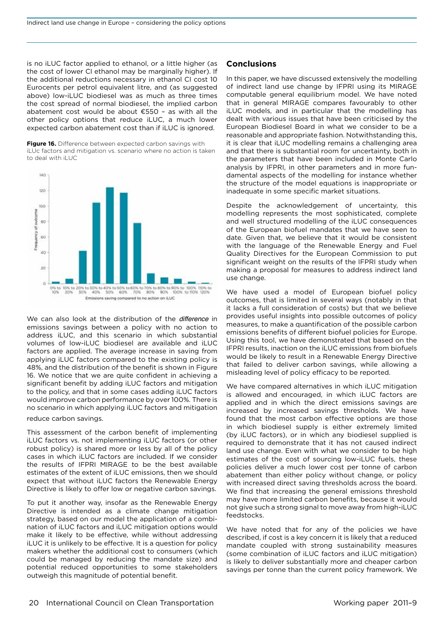<span id="page-19-0"></span>is no iLUC factor applied to ethanol, or a little higher (as the cost of lower CI ethanol may be marginally higher). If the additional reductions necessary in ethanol CI cost 10 Eurocents per petrol equivalent litre, and (as suggested above) low-iLUC biodiesel was as much as three times the cost spread of normal biodiesel, the implied carbon abatement cost would be about €550 – as with all the other policy options that reduce iLUC, a much lower expected carbon abatement cost than if iLUC is ignored.

**Figure 16.** Difference between expected carbon savings with iLUc factors and mitigation vs. scenario where no action is taken to deal with iLUC



We can also look at the distribution of the *difference* in emissions savings between a policy with no action to address iLUC, and this scenario in which substantial volumes of low-iLUC biodiesel are available and iLUC factors are applied. The average increase in saving from applying iLUC factors compared to the existing policy is 48%, and the distribution of the benefit is shown in [Figure](#page-19-1)  [1](#page-19-1)6. We notice that we are quite confident in achieving a significant benefit by adding iLUC factors and mitigation to the policy, and that in some cases adding iLUC factors would improve carbon performance by over 100%. There is no scenario in which applying iLUC factors and mitigation

#### <span id="page-19-1"></span>reduce carbon savings.

This assessment of the carbon benefit of implementing iLUC factors vs. not implementing iLUC factors (or other robust policy) is shared more or less by all of the policy cases in which iLUC factors are included. If we consider the results of IFPRI MIRAGE to be the best available estimates of the extent of iLUC emissions, then we should expect that without iLUC factors the Renewable Energy Directive is likely to offer low or negative carbon savings.

To put it another way, insofar as the Renewable Energy Directive is intended as a climate change mitigation strategy, based on our model the application of a combination of iLUC factors and iLUC mitigation options would make it likely to be effective, while without addressing iLUC it is unlikely to be effective. It is a question for policy makers whether the additional cost to consumers (which could be managed by reducing the mandate size) and potential reduced opportunities to some stakeholders outweigh this magnitude of potential benefit.

#### **Conclusions**

In this paper, we have discussed extensively the modelling of indirect land use change by IFPRI using its MIRAGE computable general equilibrium model. We have noted that in general MIRAGE compares favourably to other iLUC models, and in particular that the modelling has dealt with various issues that have been criticised by the European Biodiesel Board in what we consider to be a reasonable and appropriate fashion. Notwithstanding this, it is clear that iLUC modelling remains a challenging area and that there is substantial room for uncertainty, both in the parameters that have been included in Monte Carlo analysis by IFPRI, in other parameters and in more fundamental aspects of the modelling for instance whether the structure of the model equations is inappropriate or inadequate in some specific market situations.

Despite the acknowledgement of uncertainty, this modelling represents the most sophisticated, complete and well structured modelling of the iLUC consequences of the European biofuel mandates that we have seen to date. Given that, we believe that it would be consistent with the language of the Renewable Energy and Fuel Quality Directives for the European Commission to put significant weight on the results of the IFPRI study when making a proposal for measures to address indirect land use change.

We have used a model of European biofuel policy outcomes, that is limited in several ways (notably in that it lacks a full consideration of costs) but that we believe provides useful insights into possible outcomes of policy measures, to make a quantification of the possible carbon emissions benefits of different biofuel policies for Europe. Using this tool, we have demonstrated that based on the IFPRI results, inaction on the iLUC emissions from biofuels would be likely to result in a Renewable Energy Directive that failed to deliver carbon savings, while allowing a misleading level of policy efficacy to be reported.

We have compared alternatives in which iLUC mitigation is allowed and encouraged, in which iLUC factors are applied and in which the direct emissions savings are increased by increased savings thresholds. We have found that the most carbon effective options are those in which biodiesel supply is either extremely limited (by iLUC factors), or in which any biodiesel supplied is required to demonstrate that it has not caused indirect land use change. Even with what we consider to be high estimates of the cost of sourcing low-iLUC fuels, these policies deliver a much lower cost per tonne of carbon abatement than either policy without change, or policy with increased direct saving thresholds across the board. We find that increasing the general emissions threshold may have more limited carbon benefits, because it would not give such a strong signal to move away from high-iLUC feedstocks.

We have noted that for any of the policies we have described, if cost is a key concern it is likely that a reduced mandate coupled with strong sustainability measures (some combination of iLUC factors and iLUC mitigation) is likely to deliver substantially more and cheaper carbon savings per tonne than the current policy framework. We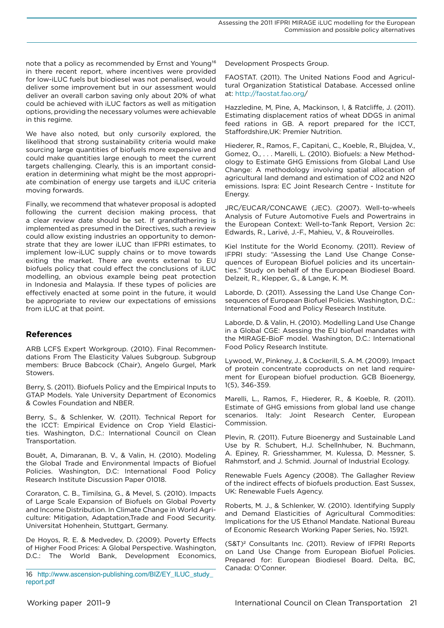<span id="page-20-0"></span>note that a policy as recommended by Ernst and Young<sup>16</sup> in there recent report, where incentives were provided for low-iLUC fuels but biodiesel was not penalised, would deliver some improvement but in our assessment would deliver an overall carbon saving only about 20% of what could be achieved with iLUC factors as well as mitigation options, providing the necessary volumes were achievable in this regime.

We have also noted, but only cursorily explored, the likelihood that strong sustainability criteria would make sourcing large quantities of biofuels more expensive and could make quantities large enough to meet the current targets challenging. Clearly, this is an important consideration in determining what might be the most appropriate combination of energy use targets and iLUC criteria moving forwards.

Finally, we recommend that whatever proposal is adopted following the current decision making process, that a clear review date should be set. If grandfathering is implemented as presumed in the Directives, such a review could allow existing industries an opportunity to demonstrate that they are lower iLUC than IFPRI estimates, to implement low-iLUC supply chains or to move towards exiting the market. There are events external to EU biofuels policy that could effect the conclusions of iLUC modelling, an obvious example being peat protection in Indonesia and Malaysia. If these types of policies are effectively enacted at some point in the future, it would be appropriate to review our expectations of emissions from iLUC at that point.

# **References**

ARB LCFS Expert Workgroup. (2010). Final Recommendations From The Elasticity Values Subgroup. Subgroup members: Bruce Babcock (Chair), Angelo Gurgel, Mark Stowers.

Berry, S. (2011). Biofuels Policy and the Empirical Inputs to GTAP Models. Yale University Department of Economics & Cowles Foundation and NBER.

Berry, S., & Schlenker, W. (2011). Technical Report for the ICCT: Empirical Evidence on Crop Yield Elasticities. Washington, D.C.: International Council on Clean Transportation.

Bouët, A, Dimaranan, B. V., & Valin, H. (2010). Modeling the Global Trade and Environmental Impacts of Biofuel Policies. Washington, D.C: International Food Policy Research Institute Discussion Paper 01018.

Coraraton, C. B., Timilsina, G., & Mevel, S. (2010). Impacts of Large Scale Expansion of Biofuels on Global Poverty and Income Distribution. In Climate Change in World Agriculture: Mitigation, Adaptation,Trade and Food Security. Universitat Hohenhein, Stuttgart, Germany.

De Hoyos, R. E. & Medvedev, D. (2009). Poverty Effects of Higher Food Prices: A Global Perspective. Washington, D.C.: The World Bank, Development Economics, Development Prospects Group.

FAOSTAT. (2011). The United Nations Food and Agricultural Organization Statistical Database. Accessed online at: <http://faostat.fao.org>/

Hazzledine, M, Pine, A, Mackinson, I, & Ratcliffe, J. (2011). Estimating displacement ratios of wheat DDGS in animal feed rations in GB. A report prepared for the ICCT, Staffordshire,UK: Premier Nutrition.

Hiederer, R., Ramos, F., Capitani, C., Koeble, R., Blujdea, V., Gomez, O., . . . Marelli, L. (2010). Biofuels: a New Methodology to Estimate GHG Emissions from Global Land Use Change: A methodology involving spatial allocation of agricultural land demand and estimation of CO2 and N2O emissions. Ispra: EC Joint Research Centre - Institute for Energy.

JRC/EUCAR/CONCAWE (JEC). (2007). Well-to-wheels Analysis of Future Automotive Fuels and Powertrains in the European Context: Well-to-Tank Report, Version 2c: Edwards, R., Larivé, J.-F., Mahieu, V., & Rouveirolles.

Kiel Institute for the World Economy. (2011). Review of IFPRI study: "Assessing the Land Use Change Consequences of European Biofuel policies and its uncertainties." Study on behalf of the European Biodiesel Board. Delzeit, R., Klepper, G., & Lange, K. M.

Laborde, D. (2011). Assessing the Land Use Change Consequences of European Biofuel Policies. Washington, D.C.: International Food and Policy Research Institute.

Laborde, D. & Valin, H. (2010). Modelling Land Use Change in a Global CGE: Asessing the EU biofuel mandates with the MIRAGE-BioF model. Washington, D.C.: International Food Policy Research Institute.

Lywood, W., Pinkney, J., & Cockerill, S. A. M. (2009). Impact of protein concentrate coproducts on net land requirement for European biofuel production. GCB Bioenergy, 1(5), 346-359.

Marelli, L., Ramos, F., Hiederer, R., & Koeble, R. (2011). Estimate of GHG emissions from global land use change scenarios. Italy: Joint Research Center, European Commission.

Plevin, R. (2011). Future Bioenergy and Sustainable Land Use by R. Schubert, H.J. Schellnhuber, N. Buchmann, A. Epiney, R. Griesshammer, M. Kulessa, D. Messner, S. Rahmstorf, and J. Schmid. Journal of Industrial Ecology.

Renewable Fuels Agency (2008). The Gallagher Review of the indirect effects of biofuels production. East Sussex, UK: Renewable Fuels Agency.

Roberts, M. J., & Schlenker, W. (2010). Identifying Supply and Demand Elasticities of Agricultural Commodities: Implications for the US Ethanol Mandate. National Bureau of Economic Research Working Paper Series, No. 15921.

(S&T)<sup>2</sup> Consultants Inc. (2011). Review of IFPRI Reports on Land Use Change from European Biofuel Policies. Prepared for: European Biodiesel Board. Delta, BC, Canada: O'Conner.

<sup>16</sup> [http://www.ascension-publishing.com/BIZ/EY\\_ILUC\\_study\\_](http://www.ascension-publishing.com/BIZ/EY_ILUC_study_report.pdf) [report.pdf](http://www.ascension-publishing.com/BIZ/EY_ILUC_study_report.pdf)